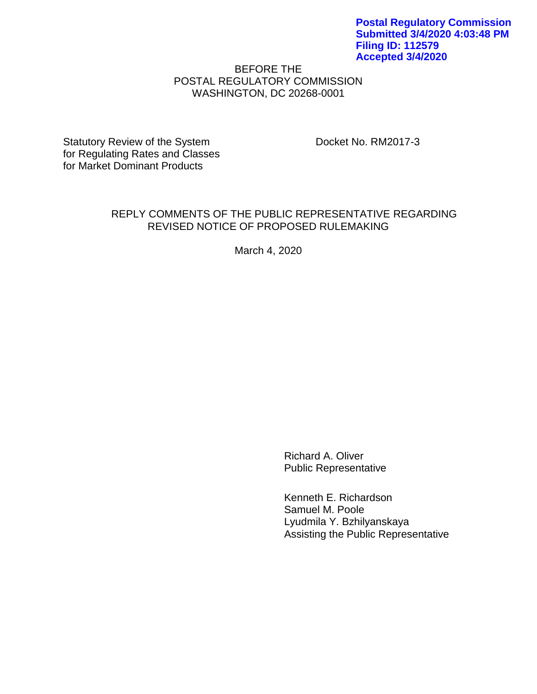## BEFORE THE POSTAL REGULATORY COMMISSION WASHINGTON, DC 20268-0001

Statutory Review of the System Docket No. RM2017-3 for Regulating Rates and Classes for Market Dominant Products

#### REPLY COMMENTS OF THE PUBLIC REPRESENTATIVE REGARDING REVISED NOTICE OF PROPOSED RULEMAKING

March 4, 2020

Richard A. Oliver Public Representative

Kenneth E. Richardson Samuel M. Poole Lyudmila Y. Bzhilyanskaya Assisting the Public Representative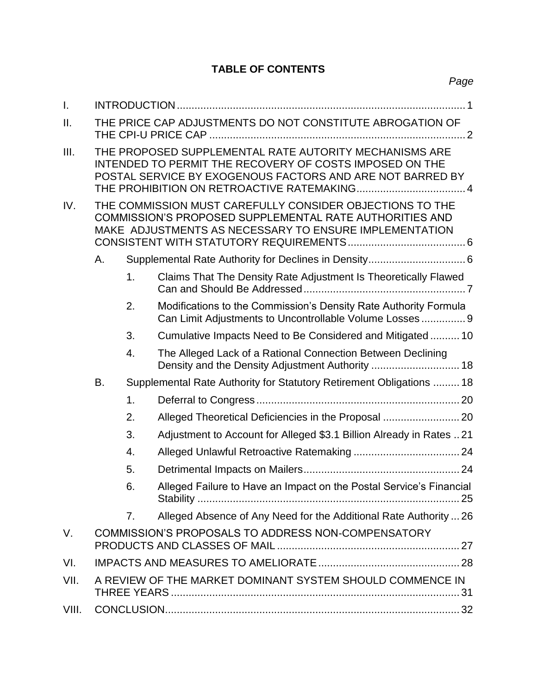# **TABLE OF CONTENTS**

| $\mathbf{L}$ |                                                           |                                                                                                                                                                                |                                                                                                                                                                               |  |  |  |
|--------------|-----------------------------------------------------------|--------------------------------------------------------------------------------------------------------------------------------------------------------------------------------|-------------------------------------------------------------------------------------------------------------------------------------------------------------------------------|--|--|--|
| II.          | THE PRICE CAP ADJUSTMENTS DO NOT CONSTITUTE ABROGATION OF |                                                                                                                                                                                |                                                                                                                                                                               |  |  |  |
| III.         |                                                           | THE PROPOSED SUPPLEMENTAL RATE AUTORITY MECHANISMS ARE<br>INTENDED TO PERMIT THE RECOVERY OF COSTS IMPOSED ON THE<br>POSTAL SERVICE BY EXOGENOUS FACTORS AND ARE NOT BARRED BY |                                                                                                                                                                               |  |  |  |
| IV.          |                                                           |                                                                                                                                                                                | THE COMMISSION MUST CAREFULLY CONSIDER OBJECTIONS TO THE<br>COMMISSION'S PROPOSED SUPPLEMENTAL RATE AUTHORITIES AND<br>MAKE ADJUSTMENTS AS NECESSARY TO ENSURE IMPLEMENTATION |  |  |  |
|              | Α.                                                        |                                                                                                                                                                                |                                                                                                                                                                               |  |  |  |
|              |                                                           | 1.                                                                                                                                                                             | Claims That The Density Rate Adjustment Is Theoretically Flawed                                                                                                               |  |  |  |
|              |                                                           | 2.                                                                                                                                                                             | Modifications to the Commission's Density Rate Authority Formula<br>Can Limit Adjustments to Uncontrollable Volume Losses 9                                                   |  |  |  |
|              |                                                           | 3.                                                                                                                                                                             | Cumulative Impacts Need to Be Considered and Mitigated 10                                                                                                                     |  |  |  |
|              |                                                           | 4.                                                                                                                                                                             | The Alleged Lack of a Rational Connection Between Declining                                                                                                                   |  |  |  |
|              | В.                                                        |                                                                                                                                                                                | Supplemental Rate Authority for Statutory Retirement Obligations  18                                                                                                          |  |  |  |
|              |                                                           | 1.                                                                                                                                                                             |                                                                                                                                                                               |  |  |  |
|              |                                                           | 2.                                                                                                                                                                             | Alleged Theoretical Deficiencies in the Proposal  20                                                                                                                          |  |  |  |
|              |                                                           | 3.                                                                                                                                                                             | Adjustment to Account for Alleged \$3.1 Billion Already in Rates 21                                                                                                           |  |  |  |
|              |                                                           | 4.                                                                                                                                                                             |                                                                                                                                                                               |  |  |  |
|              |                                                           | 5.                                                                                                                                                                             |                                                                                                                                                                               |  |  |  |
|              |                                                           | 6.                                                                                                                                                                             | Alleged Failure to Have an Impact on the Postal Service's Financial                                                                                                           |  |  |  |
|              |                                                           | 7 <sub>1</sub>                                                                                                                                                                 | Alleged Absence of Any Need for the Additional Rate Authority  26                                                                                                             |  |  |  |
| V.           |                                                           |                                                                                                                                                                                | COMMISSION'S PROPOSALS TO ADDRESS NON-COMPENSATORY                                                                                                                            |  |  |  |
| VI.          |                                                           |                                                                                                                                                                                |                                                                                                                                                                               |  |  |  |
| VII.         | A REVIEW OF THE MARKET DOMINANT SYSTEM SHOULD COMMENCE IN |                                                                                                                                                                                |                                                                                                                                                                               |  |  |  |
| VIII.        |                                                           |                                                                                                                                                                                |                                                                                                                                                                               |  |  |  |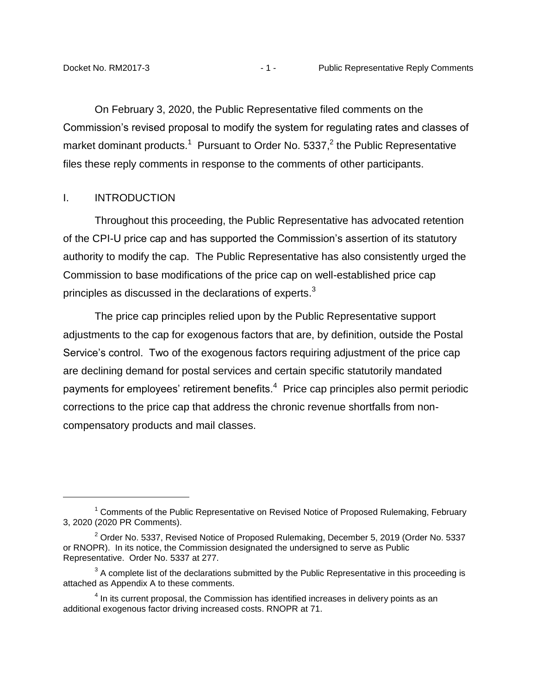On February 3, 2020, the Public Representative filed comments on the Commission's revised proposal to modify the system for regulating rates and classes of market dominant products.<sup>1</sup> Pursuant to Order No. 5337,<sup>2</sup> the Public Representative files these reply comments in response to the comments of other participants.

#### <span id="page-2-0"></span>I. INTRODUCTION

 $\overline{a}$ 

Throughout this proceeding, the Public Representative has advocated retention of the CPI-U price cap and has supported the Commission's assertion of its statutory authority to modify the cap. The Public Representative has also consistently urged the Commission to base modifications of the price cap on well-established price cap principles as discussed in the declarations of experts.<sup>3</sup>

The price cap principles relied upon by the Public Representative support adjustments to the cap for exogenous factors that are, by definition, outside the Postal Service's control. Two of the exogenous factors requiring adjustment of the price cap are declining demand for postal services and certain specific statutorily mandated payments for employees' retirement benefits. $4$  Price cap principles also permit periodic corrections to the price cap that address the chronic revenue shortfalls from noncompensatory products and mail classes.

 $1$  Comments of the Public Representative on Revised Notice of Proposed Rulemaking, February 3, 2020 (2020 PR Comments).

 $2$  Order No. 5337, Revised Notice of Proposed Rulemaking, December 5, 2019 (Order No. 5337 or RNOPR). In its notice, the Commission designated the undersigned to serve as Public Representative. Order No. 5337 at 277.

 $3$  A complete list of the declarations submitted by the Public Representative in this proceeding is attached as Appendix A to these comments.

 $<sup>4</sup>$  In its current proposal, the Commission has identified increases in delivery points as an</sup> additional exogenous factor driving increased costs. RNOPR at 71.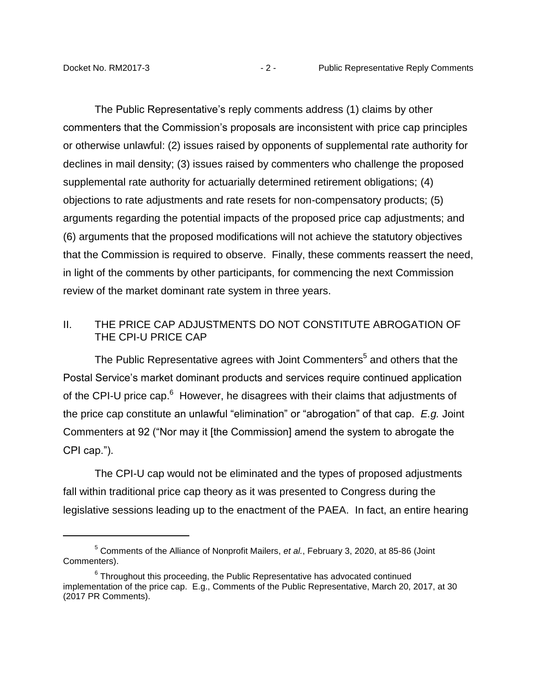The Public Representative's reply comments address (1) claims by other commenters that the Commission's proposals are inconsistent with price cap principles or otherwise unlawful: (2) issues raised by opponents of supplemental rate authority for declines in mail density; (3) issues raised by commenters who challenge the proposed supplemental rate authority for actuarially determined retirement obligations; (4) objections to rate adjustments and rate resets for non-compensatory products; (5) arguments regarding the potential impacts of the proposed price cap adjustments; and (6) arguments that the proposed modifications will not achieve the statutory objectives that the Commission is required to observe. Finally, these comments reassert the need, in light of the comments by other participants, for commencing the next Commission review of the market dominant rate system in three years.

## <span id="page-3-0"></span>II. THE PRICE CAP ADJUSTMENTS DO NOT CONSTITUTE ABROGATION OF THE CPI-U PRICE CAP

The Public Representative agrees with Joint Commenters $^5$  and others that the Postal Service's market dominant products and services require continued application of the CPI-U price cap.<sup>6</sup> However, he disagrees with their claims that adjustments of the price cap constitute an unlawful "elimination" or "abrogation" of that cap. *E.g.* Joint Commenters at 92 ("Nor may it [the Commission] amend the system to abrogate the CPI cap.").

The CPI-U cap would not be eliminated and the types of proposed adjustments fall within traditional price cap theory as it was presented to Congress during the legislative sessions leading up to the enactment of the PAEA. In fact, an entire hearing

<sup>5</sup> Comments of the Alliance of Nonprofit Mailers, *et al.*, February 3, 2020, at 85-86 (Joint Commenters).

 $6$  Throughout this proceeding, the Public Representative has advocated continued implementation of the price cap. E.g., Comments of the Public Representative, March 20, 2017, at 30 (2017 PR Comments).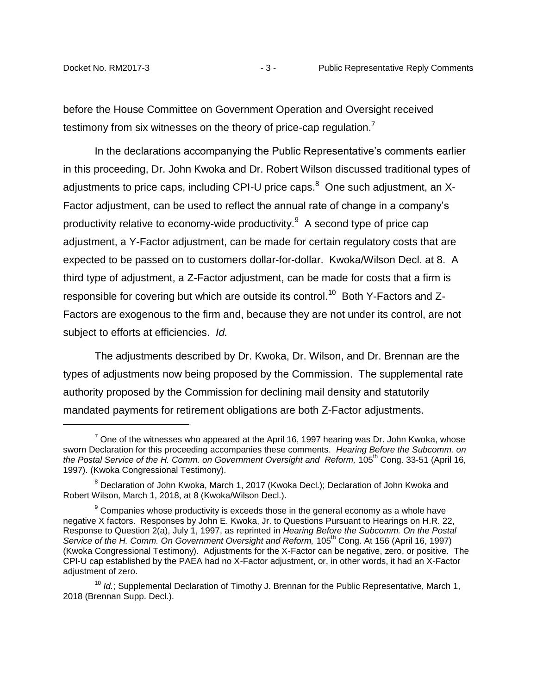before the House Committee on Government Operation and Oversight received testimony from six witnesses on the theory of price-cap regulation.

In the declarations accompanying the Public Representative's comments earlier in this proceeding, Dr. John Kwoka and Dr. Robert Wilson discussed traditional types of adjustments to price caps, including CPI-U price caps.<sup>8</sup> One such adjustment, an X-Factor adjustment, can be used to reflect the annual rate of change in a company's productivity relative to economy-wide productivity. $9$  A second type of price cap adjustment, a Y-Factor adjustment, can be made for certain regulatory costs that are expected to be passed on to customers dollar-for-dollar. Kwoka/Wilson Decl. at 8. A third type of adjustment, a Z-Factor adjustment, can be made for costs that a firm is responsible for covering but which are outside its control.<sup>10</sup> Both Y-Factors and Z-Factors are exogenous to the firm and, because they are not under its control, are not subject to efforts at efficiencies. *Id.* 

The adjustments described by Dr. Kwoka, Dr. Wilson, and Dr. Brennan are the types of adjustments now being proposed by the Commission. The supplemental rate authority proposed by the Commission for declining mail density and statutorily mandated payments for retirement obligations are both Z-Factor adjustments.

 $^7$  One of the witnesses who appeared at the April 16, 1997 hearing was Dr. John Kwoka, whose sworn Declaration for this proceeding accompanies these comments. *Hearing Before the Subcomm. on*  the Postal Service of the H. Comm. on Government Oversight and Reform, 105<sup>th</sup> Cong. 33-51 (April 16, 1997). (Kwoka Congressional Testimony).

<sup>&</sup>lt;sup>8</sup> Declaration of John Kwoka, March 1, 2017 (Kwoka Decl.); Declaration of John Kwoka and Robert Wilson, March 1, 2018, at 8 (Kwoka/Wilson Decl.).

 $9$  Companies whose productivity is exceeds those in the general economy as a whole have negative X factors. Responses by John E. Kwoka, Jr. to Questions Pursuant to Hearings on H.R. 22, Response to Question 2(a), July 1, 1997, as reprinted in *Hearing Before the Subcomm. On the Postal*  Service of the H. Comm. On Government Oversight and Reform, 105<sup>th</sup> Cong. At 156 (April 16, 1997) (Kwoka Congressional Testimony). Adjustments for the X-Factor can be negative, zero, or positive. The CPI-U cap established by the PAEA had no X-Factor adjustment, or, in other words, it had an X-Factor adjustment of zero.

<sup>&</sup>lt;sup>10</sup> *Id.*; Supplemental Declaration of Timothy J. Brennan for the Public Representative, March 1, 2018 (Brennan Supp. Decl.).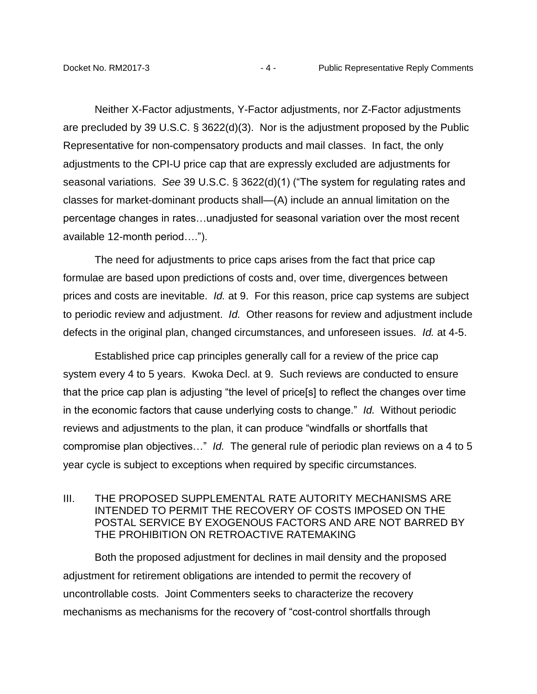Neither X-Factor adjustments, Y-Factor adjustments, nor Z-Factor adjustments are precluded by 39 U.S.C. § 3622(d)(3). Nor is the adjustment proposed by the Public Representative for non-compensatory products and mail classes. In fact, the only adjustments to the CPI-U price cap that are expressly excluded are adjustments for seasonal variations. *See* 39 U.S.C. § 3622(d)(1) ("The system for regulating rates and classes for market-dominant products shall—(A) include an annual limitation on the percentage changes in rates…unadjusted for seasonal variation over the most recent available 12-month period….").

The need for adjustments to price caps arises from the fact that price cap formulae are based upon predictions of costs and, over time, divergences between prices and costs are inevitable. *Id.* at 9. For this reason, price cap systems are subject to periodic review and adjustment. *Id.* Other reasons for review and adjustment include defects in the original plan, changed circumstances, and unforeseen issues. *Id.* at 4-5.

Established price cap principles generally call for a review of the price cap system every 4 to 5 years. Kwoka Decl. at 9. Such reviews are conducted to ensure that the price cap plan is adjusting "the level of price[s] to reflect the changes over time in the economic factors that cause underlying costs to change." *Id.* Without periodic reviews and adjustments to the plan, it can produce "windfalls or shortfalls that compromise plan objectives…" *Id.* The general rule of periodic plan reviews on a 4 to 5 year cycle is subject to exceptions when required by specific circumstances.

## <span id="page-5-0"></span>III. THE PROPOSED SUPPLEMENTAL RATE AUTORITY MECHANISMS ARE INTENDED TO PERMIT THE RECOVERY OF COSTS IMPOSED ON THE POSTAL SERVICE BY EXOGENOUS FACTORS AND ARE NOT BARRED BY THE PROHIBITION ON RETROACTIVE RATEMAKING

Both the proposed adjustment for declines in mail density and the proposed adjustment for retirement obligations are intended to permit the recovery of uncontrollable costs. Joint Commenters seeks to characterize the recovery mechanisms as mechanisms for the recovery of "cost-control shortfalls through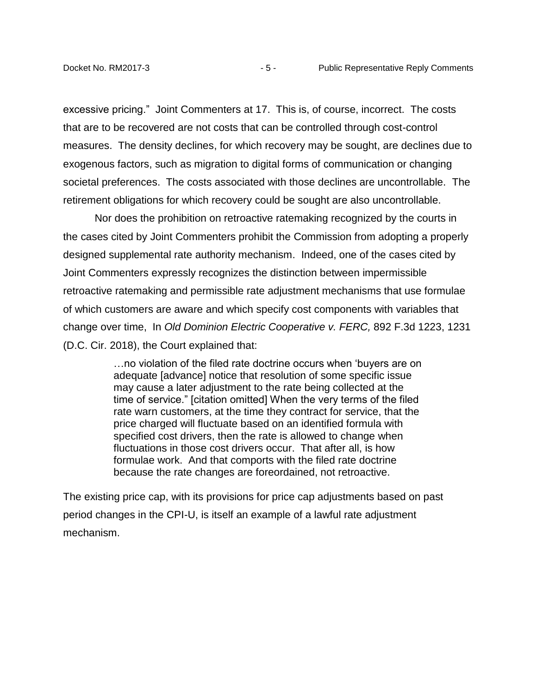excessive pricing." Joint Commenters at 17. This is, of course, incorrect. The costs that are to be recovered are not costs that can be controlled through cost-control measures. The density declines, for which recovery may be sought, are declines due to exogenous factors, such as migration to digital forms of communication or changing societal preferences. The costs associated with those declines are uncontrollable. The retirement obligations for which recovery could be sought are also uncontrollable.

Nor does the prohibition on retroactive ratemaking recognized by the courts in the cases cited by Joint Commenters prohibit the Commission from adopting a properly designed supplemental rate authority mechanism. Indeed, one of the cases cited by Joint Commenters expressly recognizes the distinction between impermissible retroactive ratemaking and permissible rate adjustment mechanisms that use formulae of which customers are aware and which specify cost components with variables that change over time, In *Old Dominion Electric Cooperative v. FERC,* 892 F.3d 1223, 1231 (D.C. Cir. 2018), the Court explained that:

> …no violation of the filed rate doctrine occurs when 'buyers are on adequate [advance] notice that resolution of some specific issue may cause a later adjustment to the rate being collected at the time of service." [citation omitted] When the very terms of the filed rate warn customers, at the time they contract for service, that the price charged will fluctuate based on an identified formula with specified cost drivers, then the rate is allowed to change when fluctuations in those cost drivers occur. That after all, is how formulae work. And that comports with the filed rate doctrine because the rate changes are foreordained, not retroactive.

The existing price cap, with its provisions for price cap adjustments based on past period changes in the CPI-U, is itself an example of a lawful rate adjustment mechanism.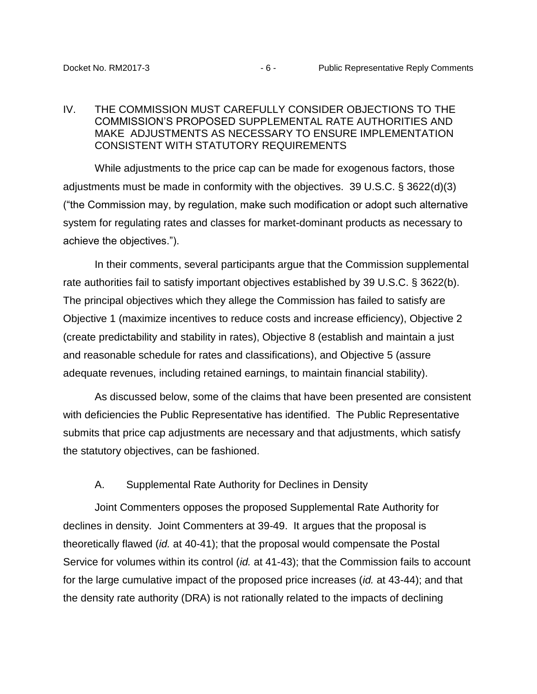#### <span id="page-7-0"></span>IV. THE COMMISSION MUST CAREFULLY CONSIDER OBJECTIONS TO THE COMMISSION'S PROPOSED SUPPLEMENTAL RATE AUTHORITIES AND MAKE ADJUSTMENTS AS NECESSARY TO ENSURE IMPLEMENTATION CONSISTENT WITH STATUTORY REQUIREMENTS

While adjustments to the price cap can be made for exogenous factors, those adjustments must be made in conformity with the objectives. 39 U.S.C. § 3622(d)(3) ("the Commission may, by regulation, make such modification or adopt such alternative system for regulating rates and classes for market-dominant products as necessary to achieve the objectives.").

In their comments, several participants argue that the Commission supplemental rate authorities fail to satisfy important objectives established by 39 U.S.C. § 3622(b). The principal objectives which they allege the Commission has failed to satisfy are Objective 1 (maximize incentives to reduce costs and increase efficiency), Objective 2 (create predictability and stability in rates), Objective 8 (establish and maintain a just and reasonable schedule for rates and classifications), and Objective 5 (assure adequate revenues, including retained earnings, to maintain financial stability).

As discussed below, some of the claims that have been presented are consistent with deficiencies the Public Representative has identified. The Public Representative submits that price cap adjustments are necessary and that adjustments, which satisfy the statutory objectives, can be fashioned.

#### A. Supplemental Rate Authority for Declines in Density

<span id="page-7-1"></span>Joint Commenters opposes the proposed Supplemental Rate Authority for declines in density. Joint Commenters at 39-49. It argues that the proposal is theoretically flawed (*id.* at 40-41); that the proposal would compensate the Postal Service for volumes within its control (*id.* at 41-43); that the Commission fails to account for the large cumulative impact of the proposed price increases (*id.* at 43-44); and that the density rate authority (DRA) is not rationally related to the impacts of declining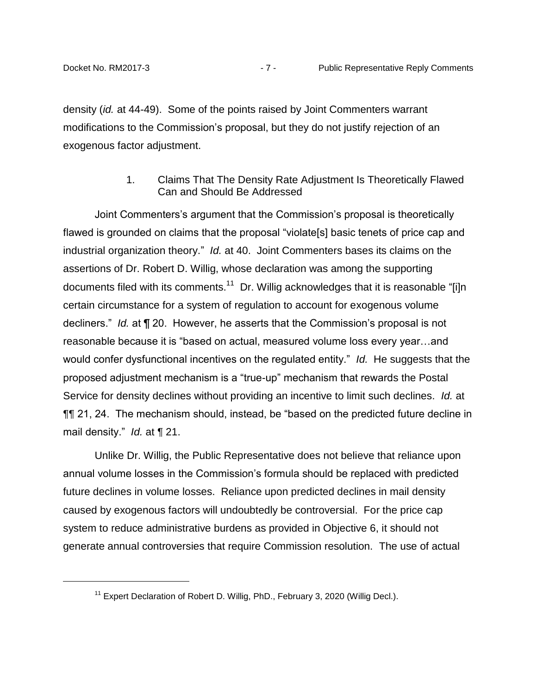density (*id.* at 44-49). Some of the points raised by Joint Commenters warrant modifications to the Commission's proposal, but they do not justify rejection of an exogenous factor adjustment.

## 1. Claims That The Density Rate Adjustment Is Theoretically Flawed Can and Should Be Addressed

<span id="page-8-0"></span>Joint Commenters's argument that the Commission's proposal is theoretically flawed is grounded on claims that the proposal "violate[s] basic tenets of price cap and industrial organization theory." *Id.* at 40. Joint Commenters bases its claims on the assertions of Dr. Robert D. Willig, whose declaration was among the supporting documents filed with its comments.<sup>11</sup> Dr. Willig acknowledges that it is reasonable "[i]n certain circumstance for a system of regulation to account for exogenous volume decliners." *Id.* at ¶ 20. However, he asserts that the Commission's proposal is not reasonable because it is "based on actual, measured volume loss every year…and would confer dysfunctional incentives on the regulated entity." *Id.* He suggests that the proposed adjustment mechanism is a "true-up" mechanism that rewards the Postal Service for density declines without providing an incentive to limit such declines. *Id.* at ¶¶ 21, 24. The mechanism should, instead, be "based on the predicted future decline in mail density." *Id.* at ¶ 21.

Unlike Dr. Willig, the Public Representative does not believe that reliance upon annual volume losses in the Commission's formula should be replaced with predicted future declines in volume losses. Reliance upon predicted declines in mail density caused by exogenous factors will undoubtedly be controversial. For the price cap system to reduce administrative burdens as provided in Objective 6, it should not generate annual controversies that require Commission resolution. The use of actual

 $11$  Expert Declaration of Robert D. Willig, PhD., February 3, 2020 (Willig Decl.).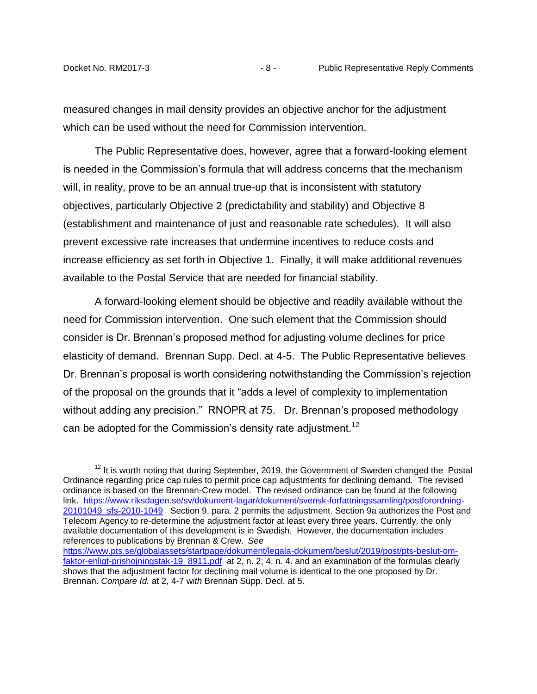measured changes in mail density provides an objective anchor for the adjustment which can be used without the need for Commission intervention.

The Public Representative does, however, agree that a forward-looking element is needed in the Commission's formula that will address concerns that the mechanism will, in reality, prove to be an annual true-up that is inconsistent with statutory objectives, particularly Objective 2 (predictability and stability) and Objective 8 (establishment and maintenance of just and reasonable rate schedules). It will also prevent excessive rate increases that undermine incentives to reduce costs and increase efficiency as set forth in Objective 1. Finally, it will make additional revenues available to the Postal Service that are needed for financial stability.

A forward-looking element should be objective and readily available without the need for Commission intervention. One such element that the Commission should consider is Dr. Brennan's proposed method for adjusting volume declines for price elasticity of demand. Brennan Supp. Decl. at 4-5. The Public Representative believes Dr. Brennan's proposal is worth considering notwithstanding the Commission's rejection of the proposal on the grounds that it "adds a level of complexity to implementation without adding any precision." RNOPR at 75. Dr. Brennan's proposed methodology can be adopted for the Commission's density rate adjustment.<sup>12</sup>

 $12$  It is worth noting that during September, 2019, the Government of Sweden changed the Postal Ordinance regarding price cap rules to permit price cap adjustments for declining demand. The revised ordinance is based on the Brennan-Crew model. The revised ordinance can be found at the following link. [https://www.riksdagen.se/sv/dokument-lagar/dokument/svensk-forfattningssamling/postforordning-](https://www.riksdagen.se/sv/dokument-lagar/dokument/svensk-forfattningssamling/postforordning-20101049_sfs-2010-1049)[20101049\\_sfs-2010-1049](https://www.riksdagen.se/sv/dokument-lagar/dokument/svensk-forfattningssamling/postforordning-20101049_sfs-2010-1049) Section 9, para. 2 permits the adjustment. Section 9a authorizes the Post and Telecom Agency to re-determine the adjustment factor at least every three years. Currently, the only available documentation of this development is in Swedish. However, the documentation includes references to publications by Brennan & Crew. *See*

[https://www.pts.se/globalassets/startpage/dokument/legala-dokument/beslut/2019/post/pts-beslut-om](https://www.pts.se/globalassets/startpage/dokument/legala-dokument/beslut/2019/post/pts-beslut-om-faktor-enligt-prishojningstak-19_8911.pdf)[faktor-enligt-prishojningstak-19\\_8911.pdf](https://www.pts.se/globalassets/startpage/dokument/legala-dokument/beslut/2019/post/pts-beslut-om-faktor-enligt-prishojningstak-19_8911.pdf) at 2, n. 2; 4, n. 4. and an examination of the formulas clearly shows that the adjustment factor for declining mail volume is identical to the one proposed by Dr. Brennan. *Compare Id.* at 2, 4-7 w*ith* Brennan Supp. Decl. at 5.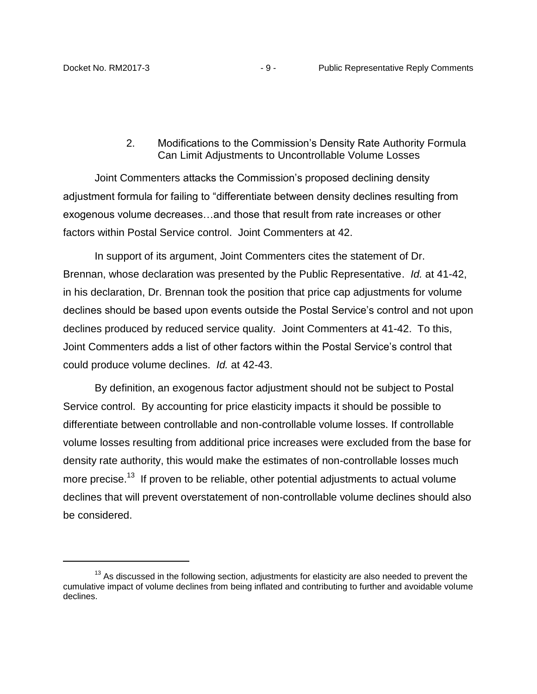## 2. Modifications to the Commission's Density Rate Authority Formula Can Limit Adjustments to Uncontrollable Volume Losses

<span id="page-10-0"></span>Joint Commenters attacks the Commission's proposed declining density adjustment formula for failing to "differentiate between density declines resulting from exogenous volume decreases…and those that result from rate increases or other factors within Postal Service control. Joint Commenters at 42.

In support of its argument, Joint Commenters cites the statement of Dr. Brennan, whose declaration was presented by the Public Representative. *Id.* at 41-42, in his declaration, Dr. Brennan took the position that price cap adjustments for volume declines should be based upon events outside the Postal Service's control and not upon declines produced by reduced service quality. Joint Commenters at 41-42. To this, Joint Commenters adds a list of other factors within the Postal Service's control that could produce volume declines. *Id.* at 42-43.

By definition, an exogenous factor adjustment should not be subject to Postal Service control. By accounting for price elasticity impacts it should be possible to differentiate between controllable and non-controllable volume losses. If controllable volume losses resulting from additional price increases were excluded from the base for density rate authority, this would make the estimates of non-controllable losses much more precise.<sup>13</sup> If proven to be reliable, other potential adjustments to actual volume declines that will prevent overstatement of non-controllable volume declines should also be considered.

 $13$  As discussed in the following section, adjustments for elasticity are also needed to prevent the cumulative impact of volume declines from being inflated and contributing to further and avoidable volume declines.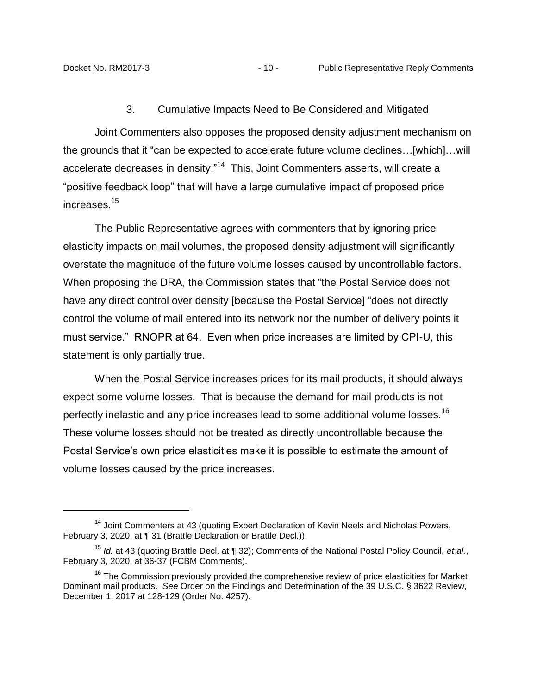#### 3. Cumulative Impacts Need to Be Considered and Mitigated

<span id="page-11-0"></span>Joint Commenters also opposes the proposed density adjustment mechanism on the grounds that it "can be expected to accelerate future volume declines…[which]…will accelerate decreases in density."<sup>14</sup> This, Joint Commenters asserts, will create a "positive feedback loop" that will have a large cumulative impact of proposed price increases.<sup>15</sup>

The Public Representative agrees with commenters that by ignoring price elasticity impacts on mail volumes, the proposed density adjustment will significantly overstate the magnitude of the future volume losses caused by uncontrollable factors. When proposing the DRA, the Commission states that "the Postal Service does not have any direct control over density [because the Postal Service] "does not directly control the volume of mail entered into its network nor the number of delivery points it must service." RNOPR at 64. Even when price increases are limited by CPI-U, this statement is only partially true.

When the Postal Service increases prices for its mail products, it should always expect some volume losses. That is because the demand for mail products is not perfectly inelastic and any price increases lead to some additional volume losses.<sup>16</sup> These volume losses should not be treated as directly uncontrollable because the Postal Service's own price elasticities make it is possible to estimate the amount of volume losses caused by the price increases.

<sup>&</sup>lt;sup>14</sup> Joint Commenters at 43 (quoting Expert Declaration of Kevin Neels and Nicholas Powers, February 3, 2020, at ¶ 31 (Brattle Declaration or Brattle Decl.)).

<sup>15</sup> *Id.* at 43 (quoting Brattle Decl. at ¶ 32); Comments of the National Postal Policy Council, *et al.*, February 3, 2020, at 36-37 (FCBM Comments).

 $16$  The Commission previously provided the comprehensive review of price elasticities for Market Dominant mail products. *See* Order on the Findings and Determination of the 39 U.S.C. § 3622 Review, December 1, 2017 at 128-129 (Order No. 4257).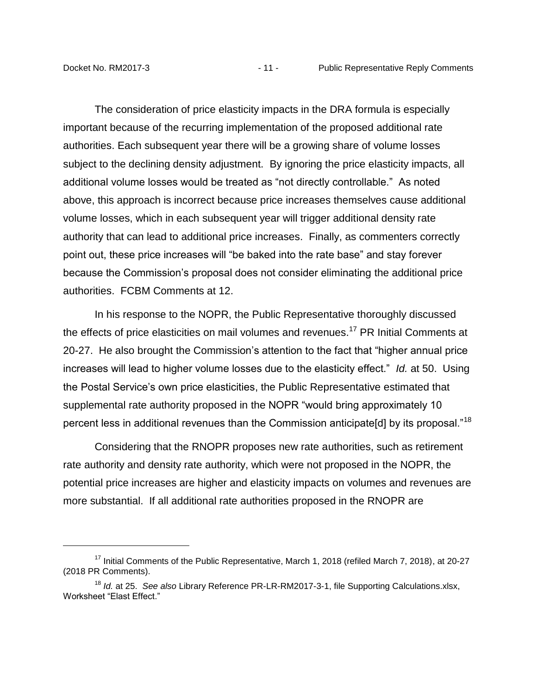The consideration of price elasticity impacts in the DRA formula is especially important because of the recurring implementation of the proposed additional rate authorities. Each subsequent year there will be a growing share of volume losses subject to the declining density adjustment. By ignoring the price elasticity impacts, all additional volume losses would be treated as "not directly controllable." As noted above, this approach is incorrect because price increases themselves cause additional volume losses, which in each subsequent year will trigger additional density rate authority that can lead to additional price increases. Finally, as commenters correctly point out, these price increases will "be baked into the rate base" and stay forever because the Commission's proposal does not consider eliminating the additional price authorities. FCBM Comments at 12.

In his response to the NOPR, the Public Representative thoroughly discussed the effects of price elasticities on mail volumes and revenues.<sup>17</sup> PR Initial Comments at 20-27. He also brought the Commission's attention to the fact that "higher annual price increases will lead to higher volume losses due to the elasticity effect." *Id.* at 50. Using the Postal Service's own price elasticities, the Public Representative estimated that supplemental rate authority proposed in the NOPR "would bring approximately 10 percent less in additional revenues than the Commission anticipate[d] by its proposal."<sup>18</sup>

Considering that the RNOPR proposes new rate authorities, such as retirement rate authority and density rate authority, which were not proposed in the NOPR, the potential price increases are higher and elasticity impacts on volumes and revenues are more substantial. If all additional rate authorities proposed in the RNOPR are

 $17$  Initial Comments of the Public Representative, March 1, 2018 (refiled March 7, 2018), at 20-27 (2018 PR Comments).

<sup>18</sup> *Id.* at 25. *See also* Library Reference PR-LR-RM2017-3-1, file Supporting Calculations.xlsx, Worksheet "Elast Effect."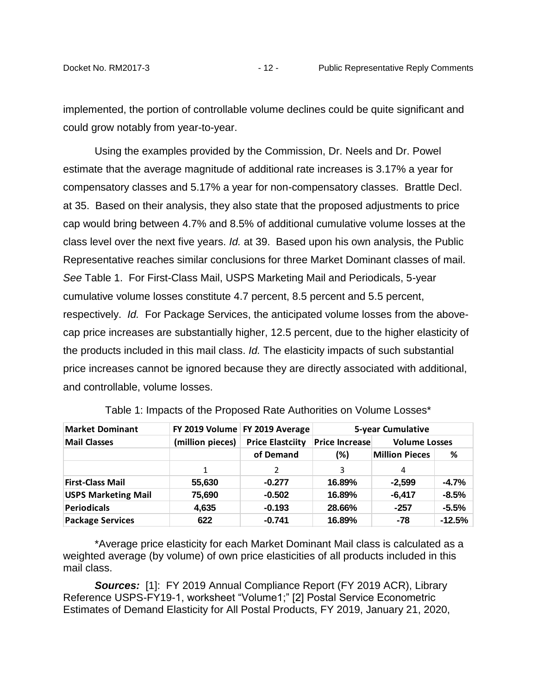implemented, the portion of controllable volume declines could be quite significant and could grow notably from year-to-year.

Using the examples provided by the Commission, Dr. Neels and Dr. Powel estimate that the average magnitude of additional rate increases is 3.17% a year for compensatory classes and 5.17% a year for non-compensatory classes. Brattle Decl. at 35. Based on their analysis, they also state that the proposed adjustments to price cap would bring between 4.7% and 8.5% of additional cumulative volume losses at the class level over the next five years. *Id.* at 39. Based upon his own analysis, the Public Representative reaches similar conclusions for three Market Dominant classes of mail. *See* Table 1. For First-Class Mail, USPS Marketing Mail and Periodicals, 5-year cumulative volume losses constitute 4.7 percent, 8.5 percent and 5.5 percent, respectively. *Id.* For Package Services, the anticipated volume losses from the abovecap price increases are substantially higher, 12.5 percent, due to the higher elasticity of the products included in this mail class. *Id.* The elasticity impacts of such substantial price increases cannot be ignored because they are directly associated with additional, and controllable, volume losses.

| <b>Market Dominant</b>     |                  | FY 2019 Volume FY 2019 Average | <b>5-year Cumulative</b> |                       |                      |  |
|----------------------------|------------------|--------------------------------|--------------------------|-----------------------|----------------------|--|
| <b>Mail Classes</b>        | (million pieces) | <b>Price Elastciity</b>        | <b>Price Increase</b>    |                       | <b>Volume Losses</b> |  |
|                            |                  | of Demand                      | (%)                      | <b>Million Pieces</b> | %                    |  |
|                            | $\mathbf{1}$     | 2                              | 3                        | 4                     |                      |  |
| <b>First-Class Mail</b>    | 55,630           | $-0.277$                       | 16.89%                   | $-2,599$              | $-4.7%$              |  |
| <b>USPS Marketing Mail</b> | 75,690           | $-0.502$                       | 16.89%                   | $-6,417$              | $-8.5%$              |  |
| Periodicals                | 4,635            | $-0.193$                       | 28.66%                   | $-257$                | $-5.5%$              |  |
| <b>Package Services</b>    | 622              | $-0.741$                       | 16.89%                   | $-78$                 | $-12.5%$             |  |

Table 1: Impacts of the Proposed Rate Authorities on Volume Losses\*

\*Average price elasticity for each Market Dominant Mail class is calculated as a weighted average (by volume) of own price elasticities of all products included in this mail class.

*Sources:* [1]: FY 2019 Annual Compliance Report (FY 2019 ACR), Library Reference USPS-FY19-1, worksheet "Volume1;" [2] Postal Service Econometric Estimates of Demand Elasticity for All Postal Products, FY 2019, January 21, 2020,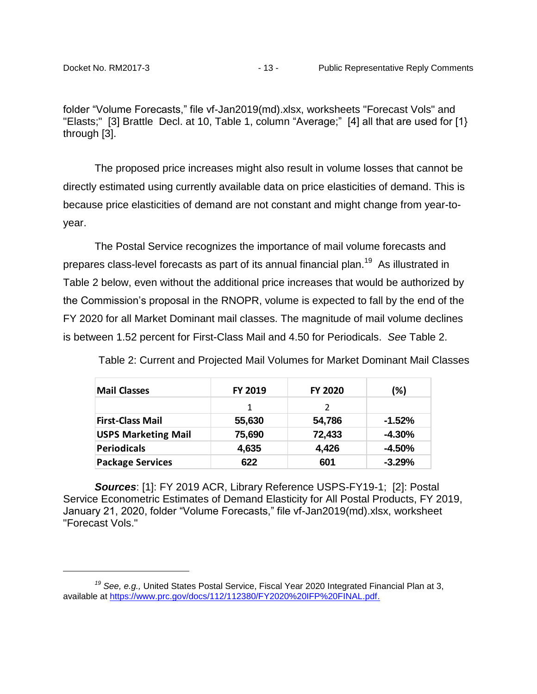folder "Volume Forecasts," file vf-Jan2019(md).xlsx, worksheets "Forecast Vols" and "Elasts;" [3] Brattle Decl. at 10, Table 1, column "Average;" [4] all that are used for [1} through [3].

The proposed price increases might also result in volume losses that cannot be directly estimated using currently available data on price elasticities of demand. This is because price elasticities of demand are not constant and might change from year-toyear.

The Postal Service recognizes the importance of mail volume forecasts and prepares class-level forecasts as part of its annual financial plan.<sup>19</sup> As illustrated in Table 2 below, even without the additional price increases that would be authorized by the Commission's proposal in the RNOPR, volume is expected to fall by the end of the FY 2020 for all Market Dominant mail classes. The magnitude of mail volume declines is between 1.52 percent for First-Class Mail and 4.50 for Periodicals. *See* Table 2.

Table 2: Current and Projected Mail Volumes for Market Dominant Mail Classes

| <b>Mail Classes</b>        | FY 2019 | <b>FY 2020</b> | (%)       |
|----------------------------|---------|----------------|-----------|
|                            | 1       | $\mathcal{P}$  |           |
| <b>First-Class Mail</b>    | 55,630  | 54,786         | $-1.52%$  |
| <b>USPS Marketing Mail</b> | 75,690  | 72,433         | $-4.30\%$ |
| <b>Periodicals</b>         | 4,635   | 4,426          | $-4.50%$  |
| <b>Package Services</b>    | 622     | 601            | $-3.29%$  |

*Sources*: [1]: FY 2019 ACR, Library Reference USPS-FY19-1; [2]: Postal Service Econometric Estimates of Demand Elasticity for All Postal Products, FY 2019, January 21, 2020, folder "Volume Forecasts," file vf-Jan2019(md).xlsx, worksheet "Forecast Vols."

*<sup>19</sup> See, e.g.,* United States Postal Service, Fiscal Year 2020 Integrated Financial Plan at 3, available at [https://www.prc.gov/docs/112/112380/FY2020%20IFP%20FINAL.pdf.](https://www.prc.gov/docs/112/112380/FY2020%20IFP%20FINAL.pdf)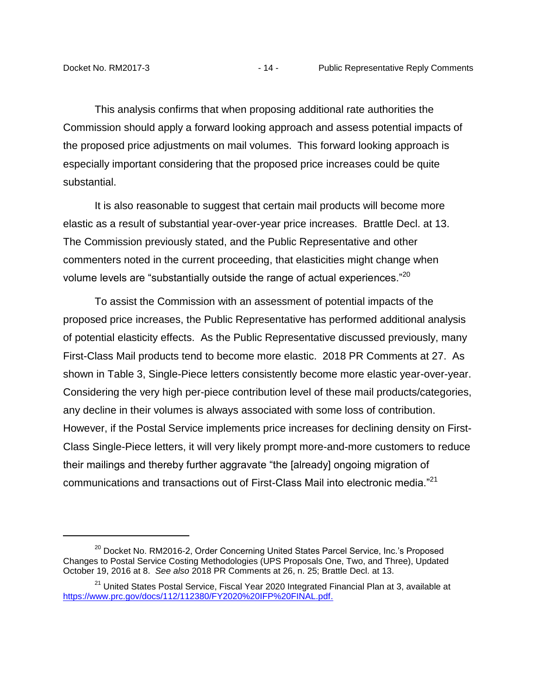This analysis confirms that when proposing additional rate authorities the Commission should apply a forward looking approach and assess potential impacts of the proposed price adjustments on mail volumes. This forward looking approach is especially important considering that the proposed price increases could be quite substantial.

It is also reasonable to suggest that certain mail products will become more elastic as a result of substantial year-over-year price increases. Brattle Decl. at 13. The Commission previously stated, and the Public Representative and other commenters noted in the current proceeding, that elasticities might change when volume levels are "substantially outside the range of actual experiences."<sup>20</sup>

To assist the Commission with an assessment of potential impacts of the proposed price increases, the Public Representative has performed additional analysis of potential elasticity effects. As the Public Representative discussed previously, many First-Class Mail products tend to become more elastic. 2018 PR Comments at 27. As shown in Table 3, Single-Piece letters consistently become more elastic year-over-year. Considering the very high per-piece contribution level of these mail products/categories, any decline in their volumes is always associated with some loss of contribution. However, if the Postal Service implements price increases for declining density on First-Class Single-Piece letters, it will very likely prompt more-and-more customers to reduce their mailings and thereby further aggravate "the [already] ongoing migration of communications and transactions out of First-Class Mail into electronic media."<sup>21</sup>

<sup>&</sup>lt;sup>20</sup> Docket No. RM2016-2, Order Concerning United States Parcel Service, Inc.'s Proposed Changes to Postal Service Costing Methodologies (UPS Proposals One, Two, and Three), Updated October 19, 2016 at 8. *See also* 2018 PR Comments at 26, n. 25; Brattle Decl. at 13.

<sup>&</sup>lt;sup>21</sup> United States Postal Service, Fiscal Year 2020 Integrated Financial Plan at 3, available at [https://www.prc.gov/docs/112/112380/FY2020%20IFP%20FINAL.pdf.](https://www.prc.gov/docs/112/112380/FY2020%20IFP%20FINAL.pdf)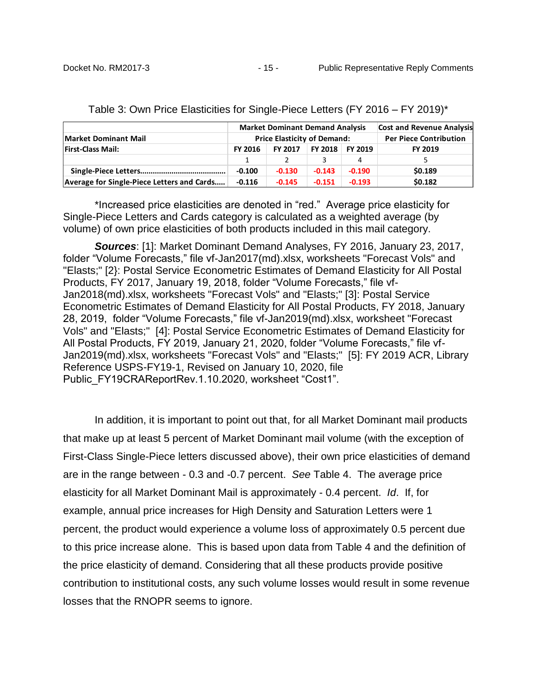|                                            | <b>Market Dominant Demand Analysis</b>                        |          |          | <b>Cost and Revenue Analysis</b> |         |
|--------------------------------------------|---------------------------------------------------------------|----------|----------|----------------------------------|---------|
| <b>Market Dominant Mail</b>                | <b>Price Elasticity of Demand:</b>                            |          |          | <b>Per Piece Contribution</b>    |         |
| <b>First-Class Mail:</b>                   | <b>FY 2018</b><br>FY 2017<br><b>FY 2019</b><br><b>FY 2016</b> |          | FY 2019  |                                  |         |
|                                            |                                                               |          |          | 4                                | 5.      |
|                                            | $-0.100$                                                      | $-0.130$ | $-0.143$ | $-0.190$                         | \$0.189 |
| Average for Single-Piece Letters and Cards | $-0.116$                                                      | $-0.145$ | $-0.151$ | $-0.193$                         | \$0.182 |

Table 3: Own Price Elasticities for Single-Piece Letters (FY 2016 – FY 2019)\*

\*Increased price elasticities are denoted in "red." Average price elasticity for Single-Piece Letters and Cards category is calculated as a weighted average (by volume) of own price elasticities of both products included in this mail category.

*Sources*: [1]: Market Dominant Demand Analyses, FY 2016, January 23, 2017, folder "Volume Forecasts," file vf-Jan2017(md).xlsx, worksheets "Forecast Vols" and "Elasts;" [2}: Postal Service Econometric Estimates of Demand Elasticity for All Postal Products, FY 2017, January 19, 2018, folder "Volume Forecasts," file vf-Jan2018(md).xlsx, worksheets "Forecast Vols" and "Elasts;" [3]: Postal Service Econometric Estimates of Demand Elasticity for All Postal Products, FY 2018, January 28, 2019, folder "Volume Forecasts," file vf-Jan2019(md).xlsx, worksheet "Forecast Vols" and "Elasts;" [4]: Postal Service Econometric Estimates of Demand Elasticity for All Postal Products, FY 2019, January 21, 2020, folder "Volume Forecasts," file vf-Jan2019(md).xlsx, worksheets "Forecast Vols" and "Elasts;" [5]: FY 2019 ACR, Library Reference USPS-FY19-1, Revised on January 10, 2020, file Public\_FY19CRAReportRev.1.10.2020, worksheet "Cost1".

In addition, it is important to point out that, for all Market Dominant mail products that make up at least 5 percent of Market Dominant mail volume (with the exception of First-Class Single-Piece letters discussed above), their own price elasticities of demand are in the range between - 0.3 and -0.7 percent. *See* Table 4. The average price elasticity for all Market Dominant Mail is approximately - 0.4 percent. *Id*. If, for example, annual price increases for High Density and Saturation Letters were 1 percent, the product would experience a volume loss of approximately 0.5 percent due to this price increase alone. This is based upon data from Table 4 and the definition of the price elasticity of demand. Considering that all these products provide positive contribution to institutional costs, any such volume losses would result in some revenue losses that the RNOPR seems to ignore.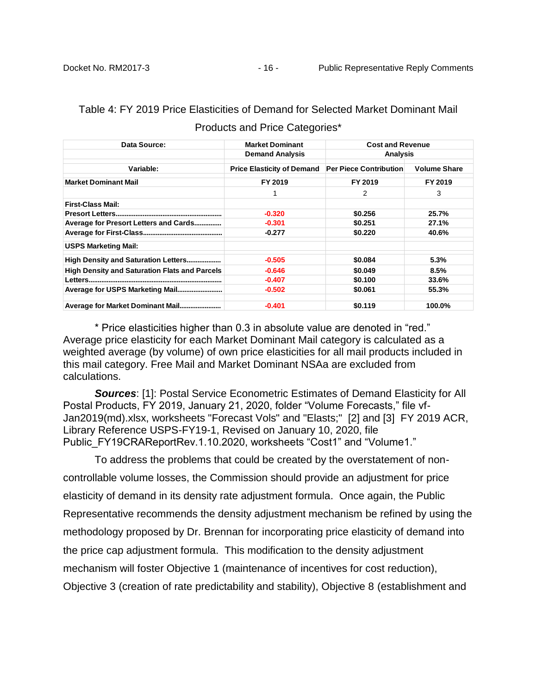| Data Source:                                         | <b>Market Dominant</b>            | <b>Cost and Revenue</b>       |                     |  |
|------------------------------------------------------|-----------------------------------|-------------------------------|---------------------|--|
|                                                      | <b>Demand Analysis</b>            | <b>Analysis</b>               |                     |  |
| Variable:                                            | <b>Price Elasticity of Demand</b> | <b>Per Piece Contribution</b> | <b>Volume Share</b> |  |
| <b>Market Dominant Mail</b>                          | FY 2019                           | FY 2019                       | FY 2019             |  |
|                                                      | 1                                 | 2                             | 3                   |  |
| <b>First-Class Mail:</b>                             |                                   |                               |                     |  |
|                                                      | $-0.320$                          | \$0.256                       | 25.7%               |  |
| Average for Presort Letters and Cards                | $-0.301$                          | \$0.251                       | 27.1%               |  |
|                                                      | $-0.277$                          | \$0.220                       | 40.6%               |  |
| <b>USPS Marketing Mail:</b>                          |                                   |                               |                     |  |
|                                                      | $-0.505$                          | \$0.084                       | 5.3%                |  |
| <b>High Density and Saturation Flats and Parcels</b> | $-0.646$                          | \$0.049                       | 8.5%                |  |
|                                                      | $-0.407$                          | \$0.100                       | 33.6%               |  |
|                                                      | $-0.502$                          | \$0.061                       | 55.3%               |  |
|                                                      |                                   |                               |                     |  |
| Average for Market Dominant Mail                     | $-0.401$                          | \$0.119                       | 100.0%              |  |

# Table 4: FY 2019 Price Elasticities of Demand for Selected Market Dominant Mail

| Products and Price Categories* |  |
|--------------------------------|--|
|--------------------------------|--|

\* Price elasticities higher than 0.3 in absolute value are denoted in "red." Average price elasticity for each Market Dominant Mail category is calculated as a weighted average (by volume) of own price elasticities for all mail products included in this mail category. Free Mail and Market Dominant NSAa are excluded from calculations.

*Sources*: [1]: Postal Service Econometric Estimates of Demand Elasticity for All Postal Products, FY 2019, January 21, 2020, folder "Volume Forecasts," file vf-Jan2019(md).xlsx, worksheets "Forecast Vols" and "Elasts;" [2] and [3] FY 2019 ACR, Library Reference USPS-FY19-1, Revised on January 10, 2020, file Public\_FY19CRAReportRev.1.10.2020, worksheets "Cost1" and "Volume1."

To address the problems that could be created by the overstatement of noncontrollable volume losses, the Commission should provide an adjustment for price elasticity of demand in its density rate adjustment formula. Once again, the Public Representative recommends the density adjustment mechanism be refined by using the methodology proposed by Dr. Brennan for incorporating price elasticity of demand into the price cap adjustment formula. This modification to the density adjustment mechanism will foster Objective 1 (maintenance of incentives for cost reduction), Objective 3 (creation of rate predictability and stability), Objective 8 (establishment and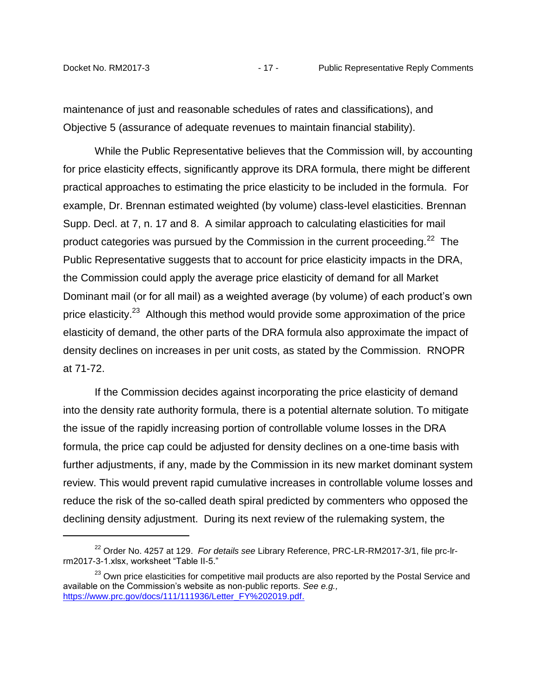maintenance of just and reasonable schedules of rates and classifications), and Objective 5 (assurance of adequate revenues to maintain financial stability).

While the Public Representative believes that the Commission will, by accounting for price elasticity effects, significantly approve its DRA formula, there might be different practical approaches to estimating the price elasticity to be included in the formula. For example, Dr. Brennan estimated weighted (by volume) class-level elasticities. Brennan Supp. Decl. at 7, n. 17 and 8. A similar approach to calculating elasticities for mail product categories was pursued by the Commission in the current proceeding.<sup>22</sup> The Public Representative suggests that to account for price elasticity impacts in the DRA, the Commission could apply the average price elasticity of demand for all Market Dominant mail (or for all mail) as a weighted average (by volume) of each product's own price elasticity.<sup>23</sup> Although this method would provide some approximation of the price elasticity of demand, the other parts of the DRA formula also approximate the impact of density declines on increases in per unit costs, as stated by the Commission. RNOPR at 71-72.

If the Commission decides against incorporating the price elasticity of demand into the density rate authority formula, there is a potential alternate solution. To mitigate the issue of the rapidly increasing portion of controllable volume losses in the DRA formula, the price cap could be adjusted for density declines on a one-time basis with further adjustments, if any, made by the Commission in its new market dominant system review. This would prevent rapid cumulative increases in controllable volume losses and reduce the risk of the so-called death spiral predicted by commenters who opposed the declining density adjustment. During its next review of the rulemaking system, the

<sup>22</sup> Order No. 4257 at 129. *For details see* Library Reference, PRC-LR-RM2017-3/1, file prc-lrrm2017-3-1.xlsx, worksheet "Table II-5."

<sup>&</sup>lt;sup>23</sup> Own price elasticities for competitive mail products are also reported by the Postal Service and available on the Commission's website as non-public reports. *See e.g.,* [https://www.prc.gov/docs/111/111936/Letter\\_FY%202019.pdf.](https://www.prc.gov/docs/111/111936/Letter_FY%202019.pdf)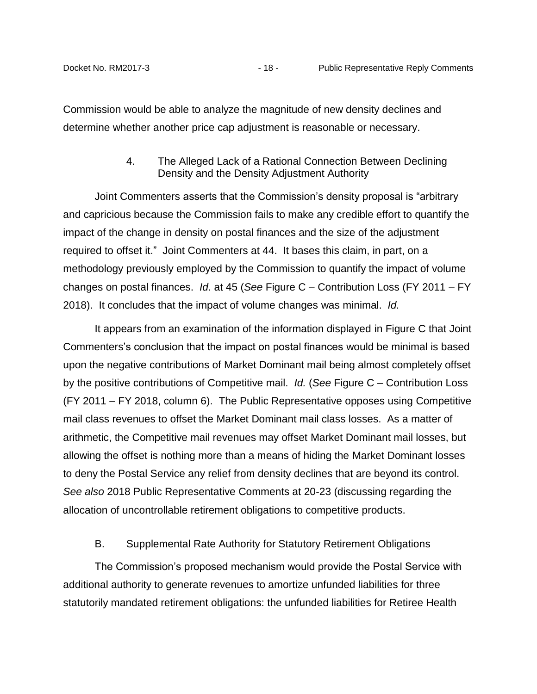<span id="page-19-0"></span>Commission would be able to analyze the magnitude of new density declines and determine whether another price cap adjustment is reasonable or necessary.

## 4. The Alleged Lack of a Rational Connection Between Declining Density and the Density Adjustment Authority

Joint Commenters asserts that the Commission's density proposal is "arbitrary and capricious because the Commission fails to make any credible effort to quantify the impact of the change in density on postal finances and the size of the adjustment required to offset it." Joint Commenters at 44. It bases this claim, in part, on a methodology previously employed by the Commission to quantify the impact of volume changes on postal finances. *Id.* at 45 (*See* Figure C – Contribution Loss (FY 2011 – FY 2018). It concludes that the impact of volume changes was minimal. *Id.*

It appears from an examination of the information displayed in Figure C that Joint Commenters's conclusion that the impact on postal finances would be minimal is based upon the negative contributions of Market Dominant mail being almost completely offset by the positive contributions of Competitive mail. *Id.* (*See* Figure C – Contribution Loss (FY 2011 – FY 2018, column 6). The Public Representative opposes using Competitive mail class revenues to offset the Market Dominant mail class losses. As a matter of arithmetic, the Competitive mail revenues may offset Market Dominant mail losses, but allowing the offset is nothing more than a means of hiding the Market Dominant losses to deny the Postal Service any relief from density declines that are beyond its control. *See also* 2018 Public Representative Comments at 20-23 (discussing regarding the allocation of uncontrollable retirement obligations to competitive products.

## B. Supplemental Rate Authority for Statutory Retirement Obligations

<span id="page-19-1"></span>The Commission's proposed mechanism would provide the Postal Service with additional authority to generate revenues to amortize unfunded liabilities for three statutorily mandated retirement obligations: the unfunded liabilities for Retiree Health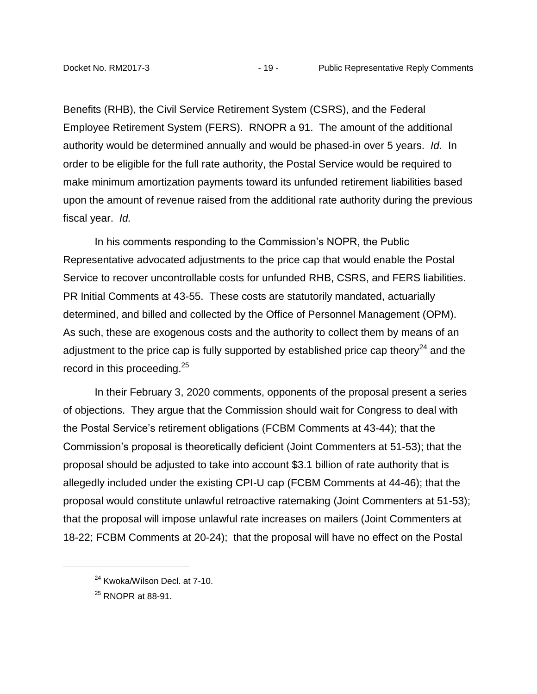Benefits (RHB), the Civil Service Retirement System (CSRS), and the Federal Employee Retirement System (FERS). RNOPR a 91. The amount of the additional authority would be determined annually and would be phased-in over 5 years. *Id.* In order to be eligible for the full rate authority, the Postal Service would be required to make minimum amortization payments toward its unfunded retirement liabilities based upon the amount of revenue raised from the additional rate authority during the previous fiscal year. *Id.*

In his comments responding to the Commission's NOPR, the Public Representative advocated adjustments to the price cap that would enable the Postal Service to recover uncontrollable costs for unfunded RHB, CSRS, and FERS liabilities. PR Initial Comments at 43-55. These costs are statutorily mandated, actuarially determined, and billed and collected by the Office of Personnel Management (OPM). As such, these are exogenous costs and the authority to collect them by means of an adjustment to the price cap is fully supported by established price cap theory $^{24}$  and the record in this proceeding.<sup>25</sup>

In their February 3, 2020 comments, opponents of the proposal present a series of objections. They argue that the Commission should wait for Congress to deal with the Postal Service's retirement obligations (FCBM Comments at 43-44); that the Commission's proposal is theoretically deficient (Joint Commenters at 51-53); that the proposal should be adjusted to take into account \$3.1 billion of rate authority that is allegedly included under the existing CPI-U cap (FCBM Comments at 44-46); that the proposal would constitute unlawful retroactive ratemaking (Joint Commenters at 51-53); that the proposal will impose unlawful rate increases on mailers (Joint Commenters at 18-22; FCBM Comments at 20-24); that the proposal will have no effect on the Postal

 $\overline{a}$ 

<sup>&</sup>lt;sup>24</sup> Kwoka/Wilson Decl. at 7-10.

 $^{25}$  RNOPR at 88-91.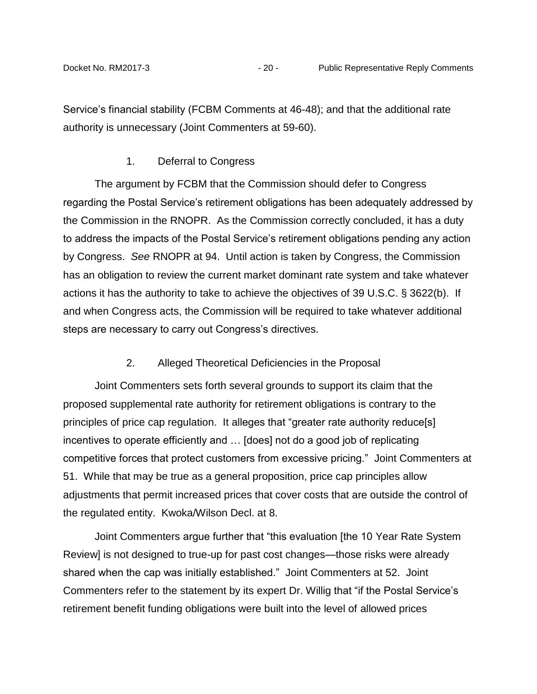Service's financial stability (FCBM Comments at 46-48); and that the additional rate authority is unnecessary (Joint Commenters at 59-60).

#### 1. Deferral to Congress

<span id="page-21-0"></span>The argument by FCBM that the Commission should defer to Congress regarding the Postal Service's retirement obligations has been adequately addressed by the Commission in the RNOPR. As the Commission correctly concluded, it has a duty to address the impacts of the Postal Service's retirement obligations pending any action by Congress. *See* RNOPR at 94. Until action is taken by Congress, the Commission has an obligation to review the current market dominant rate system and take whatever actions it has the authority to take to achieve the objectives of 39 U.S.C. § 3622(b). If and when Congress acts, the Commission will be required to take whatever additional steps are necessary to carry out Congress's directives.

## 2. Alleged Theoretical Deficiencies in the Proposal

<span id="page-21-1"></span>Joint Commenters sets forth several grounds to support its claim that the proposed supplemental rate authority for retirement obligations is contrary to the principles of price cap regulation. It alleges that "greater rate authority reduce[s] incentives to operate efficiently and … [does] not do a good job of replicating competitive forces that protect customers from excessive pricing." Joint Commenters at 51. While that may be true as a general proposition, price cap principles allow adjustments that permit increased prices that cover costs that are outside the control of the regulated entity. Kwoka/Wilson Decl. at 8.

Joint Commenters argue further that "this evaluation [the 10 Year Rate System Review] is not designed to true-up for past cost changes—those risks were already shared when the cap was initially established." Joint Commenters at 52. Joint Commenters refer to the statement by its expert Dr. Willig that "if the Postal Service's retirement benefit funding obligations were built into the level of allowed prices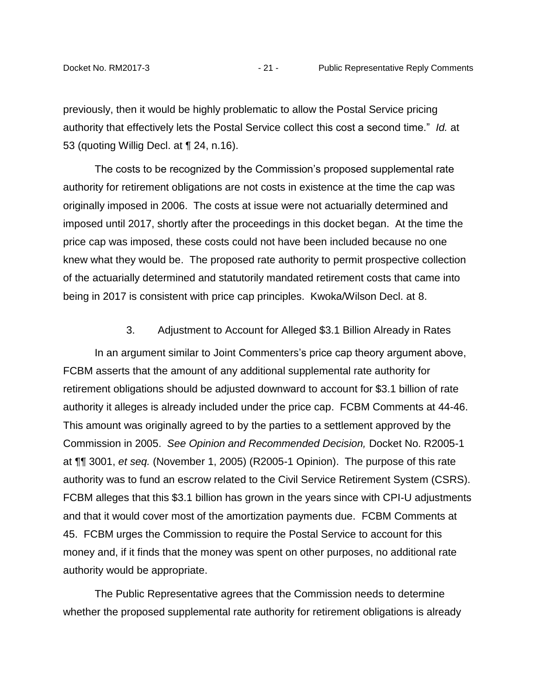previously, then it would be highly problematic to allow the Postal Service pricing authority that effectively lets the Postal Service collect this cost a second time." *Id.* at 53 (quoting Willig Decl. at ¶ 24, n.16).

The costs to be recognized by the Commission's proposed supplemental rate authority for retirement obligations are not costs in existence at the time the cap was originally imposed in 2006. The costs at issue were not actuarially determined and imposed until 2017, shortly after the proceedings in this docket began. At the time the price cap was imposed, these costs could not have been included because no one knew what they would be. The proposed rate authority to permit prospective collection of the actuarially determined and statutorily mandated retirement costs that came into being in 2017 is consistent with price cap principles. Kwoka/Wilson Decl. at 8.

3. Adjustment to Account for Alleged \$3.1 Billion Already in Rates

<span id="page-22-0"></span>In an argument similar to Joint Commenters's price cap theory argument above, FCBM asserts that the amount of any additional supplemental rate authority for retirement obligations should be adjusted downward to account for \$3.1 billion of rate authority it alleges is already included under the price cap. FCBM Comments at 44-46. This amount was originally agreed to by the parties to a settlement approved by the Commission in 2005. *See Opinion and Recommended Decision,* Docket No. R2005-1 at ¶¶ 3001, *et seq.* (November 1, 2005) (R2005-1 Opinion). The purpose of this rate authority was to fund an escrow related to the Civil Service Retirement System (CSRS). FCBM alleges that this \$3.1 billion has grown in the years since with CPI-U adjustments and that it would cover most of the amortization payments due. FCBM Comments at 45. FCBM urges the Commission to require the Postal Service to account for this money and, if it finds that the money was spent on other purposes, no additional rate authority would be appropriate.

The Public Representative agrees that the Commission needs to determine whether the proposed supplemental rate authority for retirement obligations is already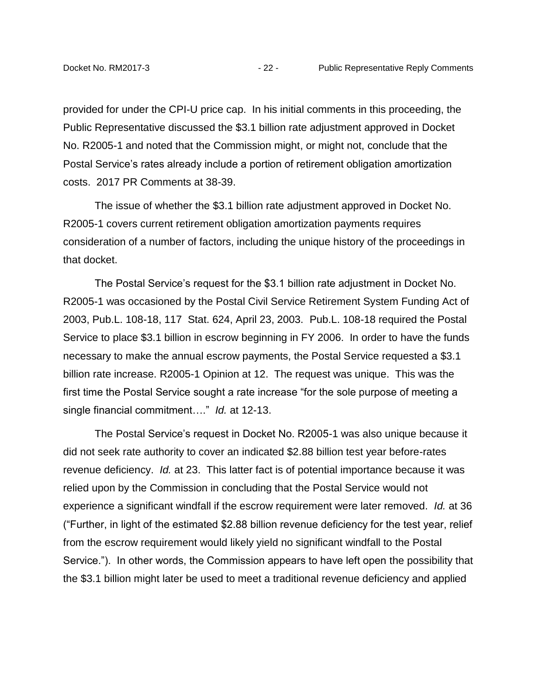provided for under the CPI-U price cap. In his initial comments in this proceeding, the Public Representative discussed the \$3.1 billion rate adjustment approved in Docket No. R2005-1 and noted that the Commission might, or might not, conclude that the Postal Service's rates already include a portion of retirement obligation amortization costs. 2017 PR Comments at 38-39.

The issue of whether the \$3.1 billion rate adjustment approved in Docket No. R2005-1 covers current retirement obligation amortization payments requires consideration of a number of factors, including the unique history of the proceedings in that docket.

The Postal Service's request for the \$3.1 billion rate adjustment in Docket No. R2005-1 was occasioned by the Postal Civil Service Retirement System Funding Act of 2003, Pub.L. 108-18, 117 Stat. 624, April 23, 2003. Pub.L. 108-18 required the Postal Service to place \$3.1 billion in escrow beginning in FY 2006. In order to have the funds necessary to make the annual escrow payments, the Postal Service requested a \$3.1 billion rate increase. R2005-1 Opinion at 12. The request was unique. This was the first time the Postal Service sought a rate increase "for the sole purpose of meeting a single financial commitment…." *Id.* at 12-13.

The Postal Service's request in Docket No. R2005-1 was also unique because it did not seek rate authority to cover an indicated \$2.88 billion test year before-rates revenue deficiency. *Id.* at 23. This latter fact is of potential importance because it was relied upon by the Commission in concluding that the Postal Service would not experience a significant windfall if the escrow requirement were later removed. *Id.* at 36 ("Further, in light of the estimated \$2.88 billion revenue deficiency for the test year, relief from the escrow requirement would likely yield no significant windfall to the Postal Service."). In other words, the Commission appears to have left open the possibility that the \$3.1 billion might later be used to meet a traditional revenue deficiency and applied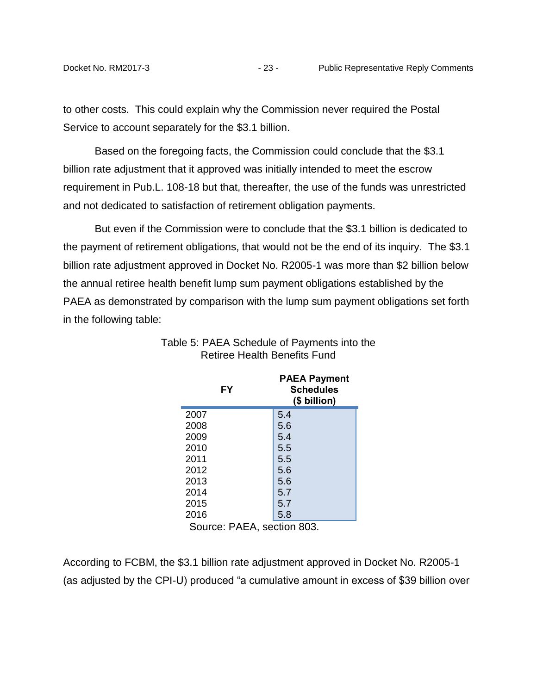to other costs. This could explain why the Commission never required the Postal Service to account separately for the \$3.1 billion.

Based on the foregoing facts, the Commission could conclude that the \$3.1 billion rate adjustment that it approved was initially intended to meet the escrow requirement in Pub.L. 108-18 but that, thereafter, the use of the funds was unrestricted and not dedicated to satisfaction of retirement obligation payments.

But even if the Commission were to conclude that the \$3.1 billion is dedicated to the payment of retirement obligations, that would not be the end of its inquiry. The \$3.1 billion rate adjustment approved in Docket No. R2005-1 was more than \$2 billion below the annual retiree health benefit lump sum payment obligations established by the PAEA as demonstrated by comparison with the lump sum payment obligations set forth in the following table:

|      | FY                   | <b>PAEA Payment</b><br><b>Schedules</b><br>(\$ billion) |
|------|----------------------|---------------------------------------------------------|
| 2007 |                      | 5.4                                                     |
| 2008 |                      | 5.6                                                     |
| 2009 |                      | 5.4                                                     |
| 2010 |                      | 5.5                                                     |
| 2011 |                      | 5.5                                                     |
| 2012 |                      | 5.6                                                     |
| 2013 |                      | 5.6                                                     |
| 2014 |                      | 5.7                                                     |
| 2015 |                      | 5.7                                                     |
| 2016 |                      | 5.8                                                     |
| ⌒    | $\ddot{\phantom{0}}$ | . .<br>$\sim$ $\sim$ $\sim$                             |

## Table 5: PAEA Schedule of Payments into the Retiree Health Benefits Fund

Source: PAEA, section 803.

According to FCBM, the \$3.1 billion rate adjustment approved in Docket No. R2005-1 (as adjusted by the CPI-U) produced "a cumulative amount in excess of \$39 billion over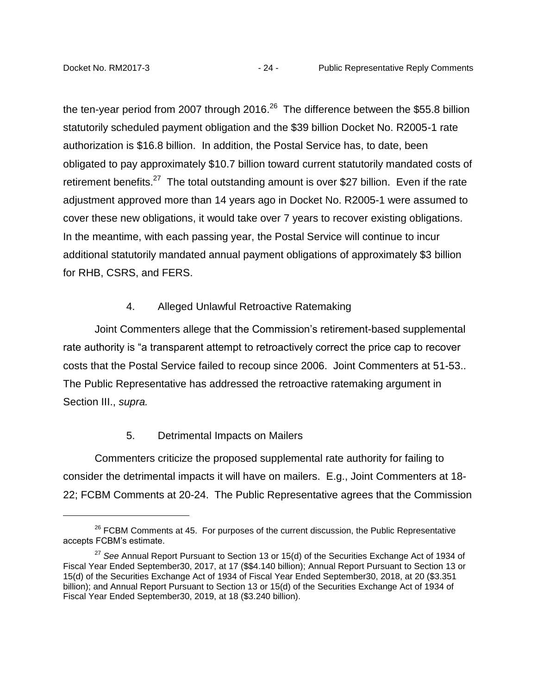the ten-year period from 2007 through 2016. $^{26}$  The difference between the \$55.8 billion statutorily scheduled payment obligation and the \$39 billion Docket No. R2005-1 rate authorization is \$16.8 billion. In addition, the Postal Service has, to date, been obligated to pay approximately \$10.7 billion toward current statutorily mandated costs of retirement benefits.<sup>27</sup> The total outstanding amount is over \$27 billion. Even if the rate adjustment approved more than 14 years ago in Docket No. R2005-1 were assumed to cover these new obligations, it would take over 7 years to recover existing obligations. In the meantime, with each passing year, the Postal Service will continue to incur additional statutorily mandated annual payment obligations of approximately \$3 billion for RHB, CSRS, and FERS.

#### 4. Alleged Unlawful Retroactive Ratemaking

<span id="page-25-0"></span>Joint Commenters allege that the Commission's retirement-based supplemental rate authority is "a transparent attempt to retroactively correct the price cap to recover costs that the Postal Service failed to recoup since 2006. Joint Commenters at 51-53.. The Public Representative has addressed the retroactive ratemaking argument in Section III., *supra.*

## 5. Detrimental Impacts on Mailers

<span id="page-25-1"></span>Commenters criticize the proposed supplemental rate authority for failing to consider the detrimental impacts it will have on mailers. E.g., Joint Commenters at 18- 22; FCBM Comments at 20-24. The Public Representative agrees that the Commission

 $26$  FCBM Comments at 45. For purposes of the current discussion, the Public Representative accepts FCBM's estimate.

<sup>27</sup> *See* Annual Report Pursuant to Section 13 or 15(d) of the Securities Exchange Act of 1934 of Fiscal Year Ended September30, 2017, at 17 (\$\$4.140 billion); Annual Report Pursuant to Section 13 or 15(d) of the Securities Exchange Act of 1934 of Fiscal Year Ended September30, 2018, at 20 (\$3.351 billion); and Annual Report Pursuant to Section 13 or 15(d) of the Securities Exchange Act of 1934 of Fiscal Year Ended September30, 2019, at 18 (\$3.240 billion).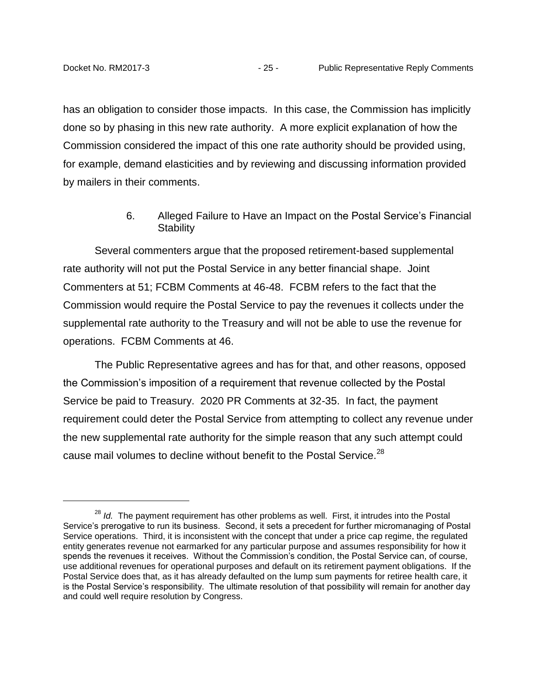has an obligation to consider those impacts. In this case, the Commission has implicitly done so by phasing in this new rate authority. A more explicit explanation of how the Commission considered the impact of this one rate authority should be provided using, for example, demand elasticities and by reviewing and discussing information provided by mailers in their comments.

## 6. Alleged Failure to Have an Impact on the Postal Service's Financial **Stability**

<span id="page-26-0"></span>Several commenters argue that the proposed retirement-based supplemental rate authority will not put the Postal Service in any better financial shape. Joint Commenters at 51; FCBM Comments at 46-48. FCBM refers to the fact that the Commission would require the Postal Service to pay the revenues it collects under the supplemental rate authority to the Treasury and will not be able to use the revenue for operations. FCBM Comments at 46.

The Public Representative agrees and has for that, and other reasons, opposed the Commission's imposition of a requirement that revenue collected by the Postal Service be paid to Treasury. 2020 PR Comments at 32-35. In fact, the payment requirement could deter the Postal Service from attempting to collect any revenue under the new supplemental rate authority for the simple reason that any such attempt could cause mail volumes to decline without benefit to the Postal Service.<sup>28</sup>

<sup>&</sup>lt;sup>28</sup> *Id.* The payment requirement has other problems as well. First, it intrudes into the Postal Service's prerogative to run its business. Second, it sets a precedent for further micromanaging of Postal Service operations. Third, it is inconsistent with the concept that under a price cap regime, the regulated entity generates revenue not earmarked for any particular purpose and assumes responsibility for how it spends the revenues it receives. Without the Commission's condition, the Postal Service can, of course, use additional revenues for operational purposes and default on its retirement payment obligations. If the Postal Service does that, as it has already defaulted on the lump sum payments for retiree health care, it is the Postal Service's responsibility. The ultimate resolution of that possibility will remain for another day and could well require resolution by Congress.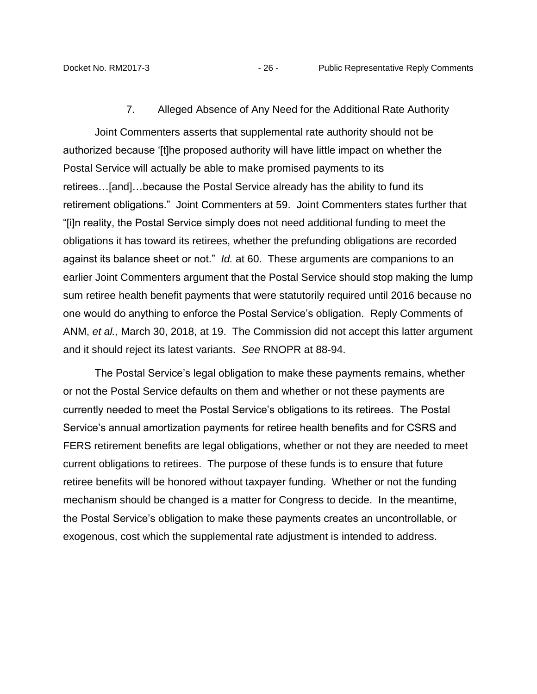7. Alleged Absence of Any Need for the Additional Rate Authority

<span id="page-27-0"></span>Joint Commenters asserts that supplemental rate authority should not be authorized because '[t]he proposed authority will have little impact on whether the Postal Service will actually be able to make promised payments to its retirees…[and]…because the Postal Service already has the ability to fund its retirement obligations." Joint Commenters at 59. Joint Commenters states further that "[i]n reality, the Postal Service simply does not need additional funding to meet the obligations it has toward its retirees, whether the prefunding obligations are recorded against its balance sheet or not." *Id.* at 60. These arguments are companions to an earlier Joint Commenters argument that the Postal Service should stop making the lump sum retiree health benefit payments that were statutorily required until 2016 because no one would do anything to enforce the Postal Service's obligation. Reply Comments of ANM, *et al.,* March 30, 2018, at 19. The Commission did not accept this latter argument and it should reject its latest variants. *See* RNOPR at 88-94.

The Postal Service's legal obligation to make these payments remains, whether or not the Postal Service defaults on them and whether or not these payments are currently needed to meet the Postal Service's obligations to its retirees. The Postal Service's annual amortization payments for retiree health benefits and for CSRS and FERS retirement benefits are legal obligations, whether or not they are needed to meet current obligations to retirees. The purpose of these funds is to ensure that future retiree benefits will be honored without taxpayer funding. Whether or not the funding mechanism should be changed is a matter for Congress to decide. In the meantime, the Postal Service's obligation to make these payments creates an uncontrollable, or exogenous, cost which the supplemental rate adjustment is intended to address.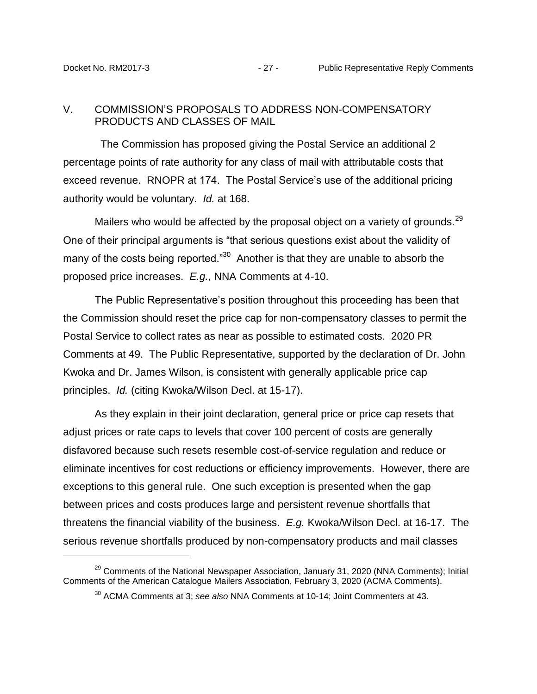#### <span id="page-28-0"></span>V. COMMISSION'S PROPOSALS TO ADDRESS NON-COMPENSATORY PRODUCTS AND CLASSES OF MAIL

 The Commission has proposed giving the Postal Service an additional 2 percentage points of rate authority for any class of mail with attributable costs that exceed revenue. RNOPR at 174. The Postal Service's use of the additional pricing authority would be voluntary. *Id.* at 168.

Mailers who would be affected by the proposal object on a variety of grounds.<sup>29</sup> One of their principal arguments is "that serious questions exist about the validity of many of the costs being reported."<sup>30</sup> Another is that they are unable to absorb the proposed price increases. *E.g.,* NNA Comments at 4-10.

The Public Representative's position throughout this proceeding has been that the Commission should reset the price cap for non-compensatory classes to permit the Postal Service to collect rates as near as possible to estimated costs. 2020 PR Comments at 49. The Public Representative, supported by the declaration of Dr. John Kwoka and Dr. James Wilson, is consistent with generally applicable price cap principles. *Id.* (citing Kwoka/Wilson Decl. at 15-17).

As they explain in their joint declaration, general price or price cap resets that adjust prices or rate caps to levels that cover 100 percent of costs are generally disfavored because such resets resemble cost-of-service regulation and reduce or eliminate incentives for cost reductions or efficiency improvements. However, there are exceptions to this general rule. One such exception is presented when the gap between prices and costs produces large and persistent revenue shortfalls that threatens the financial viability of the business. *E.g.* Kwoka/Wilson Decl. at 16-17. The serious revenue shortfalls produced by non-compensatory products and mail classes

<sup>&</sup>lt;sup>29</sup> Comments of the National Newspaper Association, January 31, 2020 (NNA Comments); Initial Comments of the American Catalogue Mailers Association, February 3, 2020 (ACMA Comments).

<sup>30</sup> ACMA Comments at 3; *see also* NNA Comments at 10-14; Joint Commenters at 43.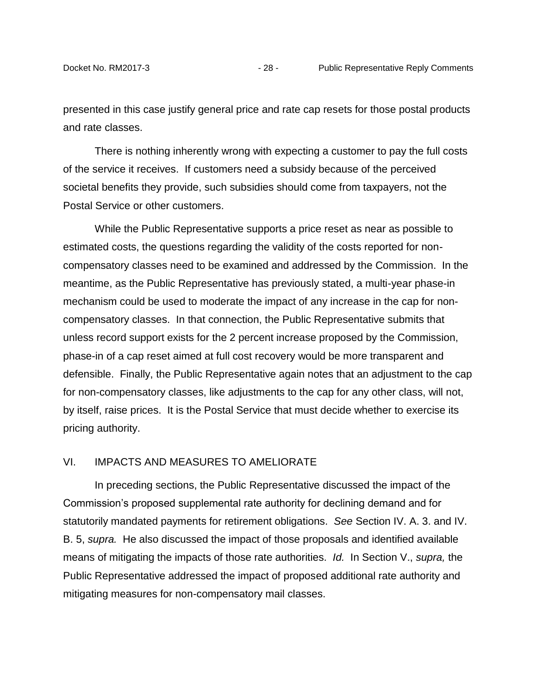presented in this case justify general price and rate cap resets for those postal products and rate classes.

There is nothing inherently wrong with expecting a customer to pay the full costs of the service it receives. If customers need a subsidy because of the perceived societal benefits they provide, such subsidies should come from taxpayers, not the Postal Service or other customers.

While the Public Representative supports a price reset as near as possible to estimated costs, the questions regarding the validity of the costs reported for noncompensatory classes need to be examined and addressed by the Commission. In the meantime, as the Public Representative has previously stated, a multi-year phase-in mechanism could be used to moderate the impact of any increase in the cap for noncompensatory classes. In that connection, the Public Representative submits that unless record support exists for the 2 percent increase proposed by the Commission, phase-in of a cap reset aimed at full cost recovery would be more transparent and defensible. Finally, the Public Representative again notes that an adjustment to the cap for non-compensatory classes, like adjustments to the cap for any other class, will not, by itself, raise prices. It is the Postal Service that must decide whether to exercise its pricing authority.

#### <span id="page-29-0"></span>VI. IMPACTS AND MEASURES TO AMELIORATE

In preceding sections, the Public Representative discussed the impact of the Commission's proposed supplemental rate authority for declining demand and for statutorily mandated payments for retirement obligations. *See* Section IV. A. 3. and IV. B. 5, *supra.* He also discussed the impact of those proposals and identified available means of mitigating the impacts of those rate authorities. *Id.* In Section V., *supra,* the Public Representative addressed the impact of proposed additional rate authority and mitigating measures for non-compensatory mail classes.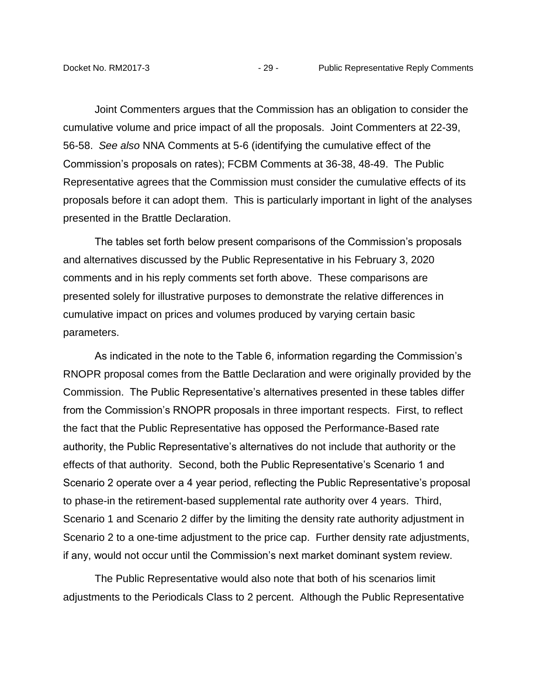Joint Commenters argues that the Commission has an obligation to consider the cumulative volume and price impact of all the proposals. Joint Commenters at 22-39, 56-58. *See also* NNA Comments at 5-6 (identifying the cumulative effect of the Commission's proposals on rates); FCBM Comments at 36-38, 48-49. The Public Representative agrees that the Commission must consider the cumulative effects of its proposals before it can adopt them. This is particularly important in light of the analyses presented in the Brattle Declaration.

The tables set forth below present comparisons of the Commission's proposals and alternatives discussed by the Public Representative in his February 3, 2020 comments and in his reply comments set forth above. These comparisons are presented solely for illustrative purposes to demonstrate the relative differences in cumulative impact on prices and volumes produced by varying certain basic parameters.

As indicated in the note to the Table 6, information regarding the Commission's RNOPR proposal comes from the Battle Declaration and were originally provided by the Commission. The Public Representative's alternatives presented in these tables differ from the Commission's RNOPR proposals in three important respects. First, to reflect the fact that the Public Representative has opposed the Performance-Based rate authority, the Public Representative's alternatives do not include that authority or the effects of that authority. Second, both the Public Representative's Scenario 1 and Scenario 2 operate over a 4 year period, reflecting the Public Representative's proposal to phase-in the retirement-based supplemental rate authority over 4 years. Third, Scenario 1 and Scenario 2 differ by the limiting the density rate authority adjustment in Scenario 2 to a one-time adjustment to the price cap. Further density rate adjustments, if any, would not occur until the Commission's next market dominant system review.

The Public Representative would also note that both of his scenarios limit adjustments to the Periodicals Class to 2 percent. Although the Public Representative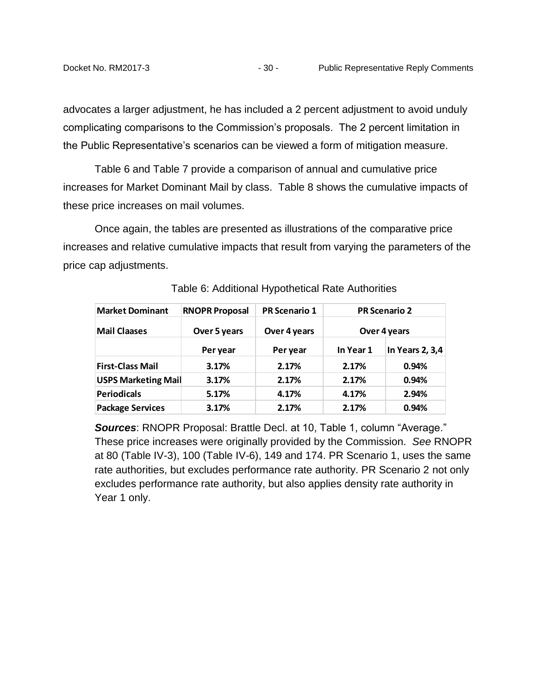advocates a larger adjustment, he has included a 2 percent adjustment to avoid unduly complicating comparisons to the Commission's proposals. The 2 percent limitation in the Public Representative's scenarios can be viewed a form of mitigation measure.

Table 6 and Table 7 provide a comparison of annual and cumulative price increases for Market Dominant Mail by class. Table 8 shows the cumulative impacts of these price increases on mail volumes.

Once again, the tables are presented as illustrations of the comparative price increases and relative cumulative impacts that result from varying the parameters of the price cap adjustments.

| <b>Market Dominant</b>     | <b>RNOPR Proposal</b> | <b>PR Scenario 1</b> |           | <b>PR Scenario 2</b> |
|----------------------------|-----------------------|----------------------|-----------|----------------------|
| <b>Mail Claases</b>        | Over 5 years          | Over 4 years         |           | Over 4 years         |
|                            | Per year              | Per year             | In Year 1 | In Years 2, 3,4      |
| <b>First-Class Mail</b>    | 3.17%                 | 2.17%                | 2.17%     | 0.94%                |
| <b>USPS Marketing Mail</b> | 3.17%                 | 2.17%                | 2.17%     | 0.94%                |
| <b>Periodicals</b>         | 5.17%                 | 4.17%                | 4.17%     | 2.94%                |
| <b>Package Services</b>    | 3.17%                 | 2.17%                | 2.17%     | 0.94%                |

Table 6: Additional Hypothetical Rate Authorities

*Sources*: RNOPR Proposal: Brattle Decl. at 10, Table 1, column "Average." These price increases were originally provided by the Commission. *See* RNOPR at 80 (Table IV-3), 100 (Table IV-6), 149 and 174. PR Scenario 1, uses the same rate authorities, but excludes performance rate authority. PR Scenario 2 not only excludes performance rate authority, but also applies density rate authority in Year 1 only.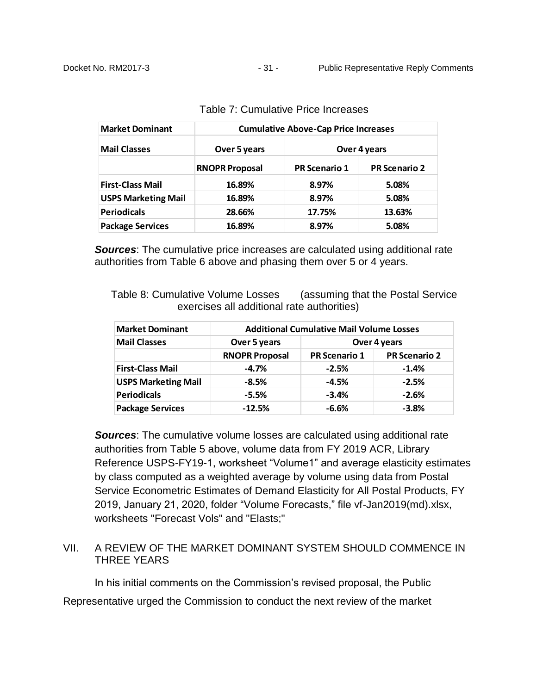| <b>Market Dominant</b>     | <b>Cumulative Above-Cap Price Increases</b> |                      |                      |  |
|----------------------------|---------------------------------------------|----------------------|----------------------|--|
| <b>Mail Classes</b>        | Over 5 years                                |                      | Over 4 years         |  |
|                            | <b>RNOPR Proposal</b>                       | <b>PR Scenario 1</b> | <b>PR Scenario 2</b> |  |
| <b>First-Class Mail</b>    | 16.89%                                      | 8.97%                | 5.08%                |  |
| <b>USPS Marketing Mail</b> | 16.89%                                      | 8.97%                | 5.08%                |  |
| <b>Periodicals</b>         | 28.66%                                      | 17.75%               | 13.63%               |  |
| <b>Package Services</b>    | 16.89%                                      | 8.97%                | 5.08%                |  |

| Table 7: Cumulative Price Increases |
|-------------------------------------|
|-------------------------------------|

*Sources*: The cumulative price increases are calculated using additional rate authorities from Table 6 above and phasing them over 5 or 4 years.

Table 8: Cumulative Volume Losses (assuming that the Postal Service exercises all additional rate authorities)

| <b>Market Dominant</b>     | <b>Additional Cumulative Mail Volume Losses</b> |                      |                      |  |
|----------------------------|-------------------------------------------------|----------------------|----------------------|--|
| <b>Mail Classes</b>        | Over 5 years                                    |                      | Over 4 years         |  |
|                            | <b>RNOPR Proposal</b>                           | <b>PR Scenario 1</b> | <b>PR Scenario 2</b> |  |
| <b>First-Class Mail</b>    | $-4.7%$                                         | $-2.5%$              | $-1.4%$              |  |
| <b>USPS Marketing Mail</b> | $-8.5%$                                         | $-4.5%$              | $-2.5%$              |  |
| <b>Periodicals</b>         | $-5.5%$                                         | $-3.4%$              | $-2.6%$              |  |
| <b>Package Services</b>    | $-12.5%$                                        | $-6.6%$              | $-3.8%$              |  |

**Sources:** The cumulative volume losses are calculated using additional rate authorities from Table 5 above, volume data from FY 2019 ACR, Library Reference USPS-FY19-1, worksheet "Volume1" and average elasticity estimates by class computed as a weighted average by volume using data from Postal Service Econometric Estimates of Demand Elasticity for All Postal Products, FY 2019, January 21, 2020, folder "Volume Forecasts," file vf-Jan2019(md).xlsx, worksheets "Forecast Vols" and "Elasts;"

## <span id="page-32-0"></span>VII. A REVIEW OF THE MARKET DOMINANT SYSTEM SHOULD COMMENCE IN THREE YEARS

In his initial comments on the Commission's revised proposal, the Public Representative urged the Commission to conduct the next review of the market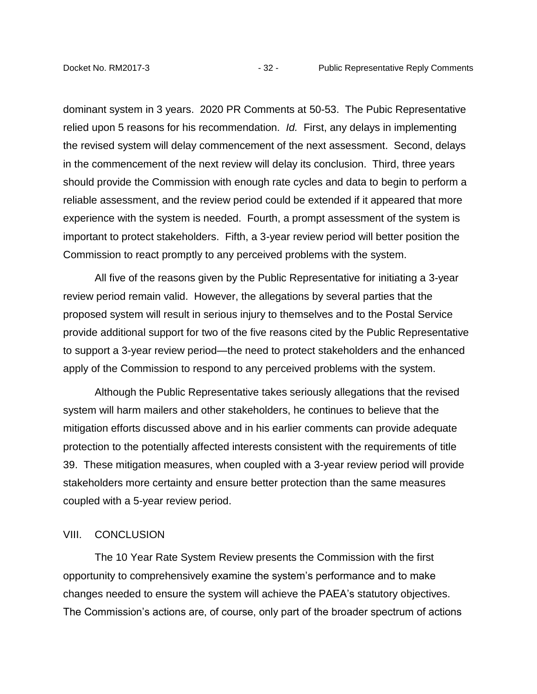dominant system in 3 years. 2020 PR Comments at 50-53. The Pubic Representative relied upon 5 reasons for his recommendation. *Id.* First, any delays in implementing the revised system will delay commencement of the next assessment. Second, delays in the commencement of the next review will delay its conclusion. Third, three years should provide the Commission with enough rate cycles and data to begin to perform a reliable assessment, and the review period could be extended if it appeared that more experience with the system is needed. Fourth, a prompt assessment of the system is important to protect stakeholders. Fifth, a 3-year review period will better position the Commission to react promptly to any perceived problems with the system.

All five of the reasons given by the Public Representative for initiating a 3-year review period remain valid. However, the allegations by several parties that the proposed system will result in serious injury to themselves and to the Postal Service provide additional support for two of the five reasons cited by the Public Representative to support a 3-year review period—the need to protect stakeholders and the enhanced apply of the Commission to respond to any perceived problems with the system.

Although the Public Representative takes seriously allegations that the revised system will harm mailers and other stakeholders, he continues to believe that the mitigation efforts discussed above and in his earlier comments can provide adequate protection to the potentially affected interests consistent with the requirements of title 39. These mitigation measures, when coupled with a 3-year review period will provide stakeholders more certainty and ensure better protection than the same measures coupled with a 5-year review period.

#### <span id="page-33-0"></span>VIII. CONCLUSION

The 10 Year Rate System Review presents the Commission with the first opportunity to comprehensively examine the system's performance and to make changes needed to ensure the system will achieve the PAEA's statutory objectives. The Commission's actions are, of course, only part of the broader spectrum of actions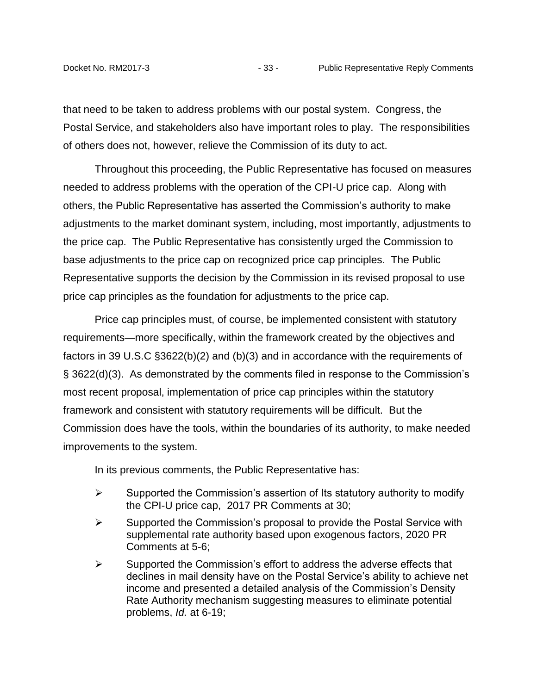that need to be taken to address problems with our postal system. Congress, the Postal Service, and stakeholders also have important roles to play. The responsibilities of others does not, however, relieve the Commission of its duty to act.

Throughout this proceeding, the Public Representative has focused on measures needed to address problems with the operation of the CPI-U price cap. Along with others, the Public Representative has asserted the Commission's authority to make adjustments to the market dominant system, including, most importantly, adjustments to the price cap. The Public Representative has consistently urged the Commission to base adjustments to the price cap on recognized price cap principles. The Public Representative supports the decision by the Commission in its revised proposal to use price cap principles as the foundation for adjustments to the price cap.

Price cap principles must, of course, be implemented consistent with statutory requirements—more specifically, within the framework created by the objectives and factors in 39 U.S.C §3622(b)(2) and (b)(3) and in accordance with the requirements of § 3622(d)(3). As demonstrated by the comments filed in response to the Commission's most recent proposal, implementation of price cap principles within the statutory framework and consistent with statutory requirements will be difficult. But the Commission does have the tools, within the boundaries of its authority, to make needed improvements to the system.

In its previous comments, the Public Representative has:

- $\triangleright$  Supported the Commission's assertion of Its statutory authority to modify the CPI-U price cap, 2017 PR Comments at 30;
- $\triangleright$  Supported the Commission's proposal to provide the Postal Service with supplemental rate authority based upon exogenous factors, 2020 PR Comments at 5-6;
- $\triangleright$  Supported the Commission's effort to address the adverse effects that declines in mail density have on the Postal Service's ability to achieve net income and presented a detailed analysis of the Commission's Density Rate Authority mechanism suggesting measures to eliminate potential problems, *Id.* at 6-19;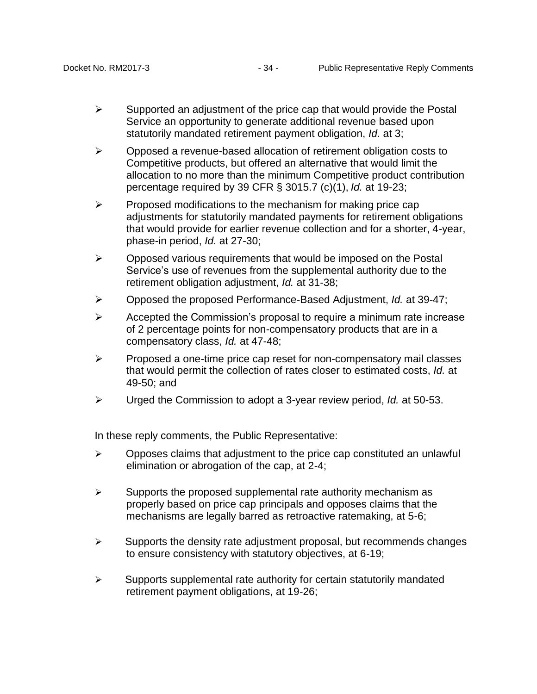- $\triangleright$  Supported an adjustment of the price cap that would provide the Postal Service an opportunity to generate additional revenue based upon statutorily mandated retirement payment obligation, *Id.* at 3;
- $\triangleright$  Opposed a revenue-based allocation of retirement obligation costs to Competitive products, but offered an alternative that would limit the allocation to no more than the minimum Competitive product contribution percentage required by 39 CFR § 3015.7 (c)(1), *Id.* at 19-23;
- $\triangleright$  Proposed modifications to the mechanism for making price cap adjustments for statutorily mandated payments for retirement obligations that would provide for earlier revenue collection and for a shorter, 4-year, phase-in period, *Id.* at 27-30;
- $\triangleright$  Opposed various requirements that would be imposed on the Postal Service's use of revenues from the supplemental authority due to the retirement obligation adjustment, *Id.* at 31-38;
- Opposed the proposed Performance-Based Adjustment, *Id.* at 39-47;
- $\triangleright$  Accepted the Commission's proposal to require a minimum rate increase of 2 percentage points for non-compensatory products that are in a compensatory class, *Id.* at 47-48;
- $\triangleright$  Proposed a one-time price cap reset for non-compensatory mail classes that would permit the collection of rates closer to estimated costs, *Id.* at 49-50; and
- Urged the Commission to adopt a 3-year review period, *Id.* at 50-53.

In these reply comments, the Public Representative:

- $\triangleright$  Opposes claims that adjustment to the price cap constituted an unlawful elimination or abrogation of the cap, at 2-4;
- $\triangleright$  Supports the proposed supplemental rate authority mechanism as properly based on price cap principals and opposes claims that the mechanisms are legally barred as retroactive ratemaking, at 5-6;
- $\triangleright$  Supports the density rate adjustment proposal, but recommends changes to ensure consistency with statutory objectives, at 6-19;
- $\triangleright$  Supports supplemental rate authority for certain statutorily mandated retirement payment obligations, at 19-26;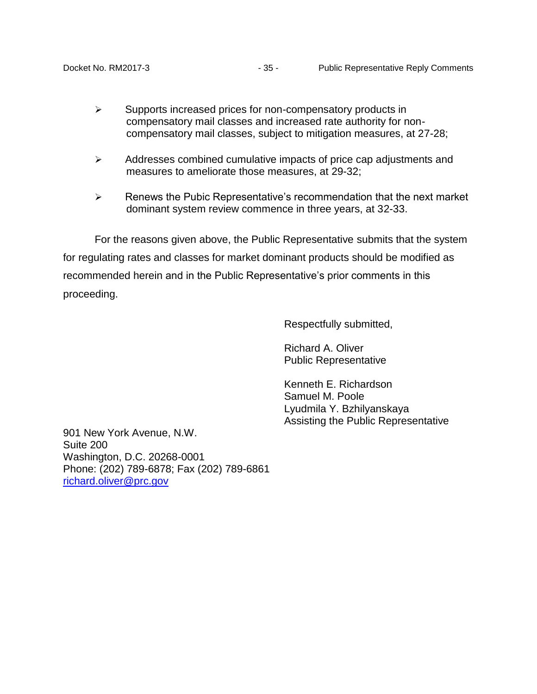- $\triangleright$  Supports increased prices for non-compensatory products in compensatory mail classes and increased rate authority for noncompensatory mail classes, subject to mitigation measures, at 27-28;
- $\triangleright$  Addresses combined cumulative impacts of price cap adjustments and measures to ameliorate those measures, at 29-32;
- $\triangleright$  Renews the Pubic Representative's recommendation that the next market dominant system review commence in three years, at 32-33.

For the reasons given above, the Public Representative submits that the system for regulating rates and classes for market dominant products should be modified as recommended herein and in the Public Representative's prior comments in this proceeding.

Respectfully submitted,

Richard A. Oliver Public Representative

Kenneth E. Richardson Samuel M. Poole Lyudmila Y. Bzhilyanskaya Assisting the Public Representative

901 New York Avenue, N.W. Suite 200 Washington, D.C. 20268-0001 Phone: (202) 789-6878; Fax (202) 789-6861 [richard.oliver@prc.gov](mailto:richard.oliver@prc.gov)